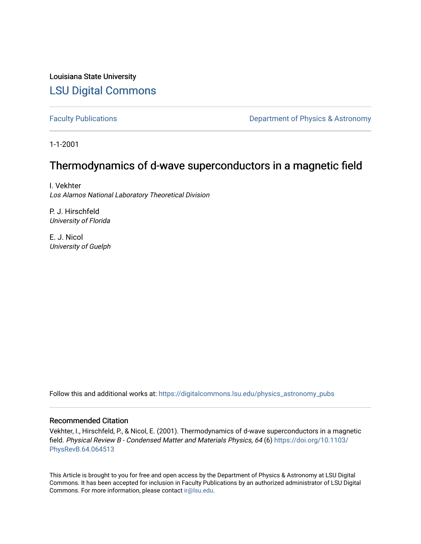Louisiana State University [LSU Digital Commons](https://digitalcommons.lsu.edu/)

[Faculty Publications](https://digitalcommons.lsu.edu/physics_astronomy_pubs) **Exercise 2 and Table 2 and Table 2 and Table 2 and Table 2 and Table 2 and Table 2 and Table 2 and Table 2 and Table 2 and Table 2 and Table 2 and Table 2 and Table 2 and Table 2 and Table 2 and Table** 

1-1-2001

# Thermodynamics of d-wave superconductors in a magnetic field

I. Vekhter Los Alamos National Laboratory Theoretical Division

P. J. Hirschfeld University of Florida

E. J. Nicol University of Guelph

Follow this and additional works at: [https://digitalcommons.lsu.edu/physics\\_astronomy\\_pubs](https://digitalcommons.lsu.edu/physics_astronomy_pubs?utm_source=digitalcommons.lsu.edu%2Fphysics_astronomy_pubs%2F5469&utm_medium=PDF&utm_campaign=PDFCoverPages) 

# Recommended Citation

Vekhter, I., Hirschfeld, P., & Nicol, E. (2001). Thermodynamics of d-wave superconductors in a magnetic field. Physical Review B - Condensed Matter and Materials Physics, 64 (6) [https://doi.org/10.1103/](https://doi.org/10.1103/PhysRevB.64.064513) [PhysRevB.64.064513](https://doi.org/10.1103/PhysRevB.64.064513)

This Article is brought to you for free and open access by the Department of Physics & Astronomy at LSU Digital Commons. It has been accepted for inclusion in Faculty Publications by an authorized administrator of LSU Digital Commons. For more information, please contact [ir@lsu.edu](mailto:ir@lsu.edu).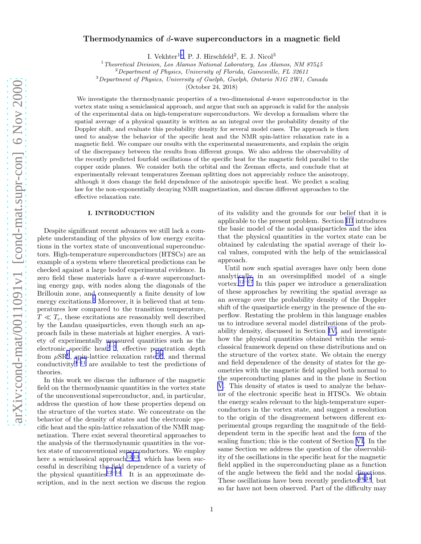# Thermodynamics of d-wave superconductors in a magnetic field

I. Vekhter<sup>1</sup>\*, P. J. Hirschfeld<sup>2</sup>, E. J. Nicol<sup>3</sup>

 $1$  Theoretical Division, Los Alamos National Laboratory, Los Alamos, NM 87545

 $2$ Department of Physics, University of Florida, Gainesville, FL 32611

<sup>3</sup>Department of Physics, University of Guelph, Guelph, Ontario N1G 2W1, Canada

(October 24, 2018)

We investigate the thermodynamic properties of a two-dimensional d-wave superconductor in the vortex state using a semiclassical approach, and argue that such an approach is valid for the analysis of the experimental data on high-temperature superconductors. We develop a formalism where the spatial average of a physical quantity is written as an integral over the probability density of the Doppler shift, and evaluate this probability density for several model cases. The approach is then used to analyse the behavior of the specific heat and the NMR spin-lattice relaxation rate in a magnetic field. We compare our results with the experimental measurements, and explain the origin of the discrepancy between the results from different groups. We also address the observability of the recently predicted fourfold oscillations of the specific heat for the magnetic field parallel to the copper oxide planes. We consider both the orbital and the Zeeman effects, and conclude that at experimentally relevant temperatures Zeeman splitting does not appreciably reduce the anisotropy, although it does change the field dependence of the anisotropic specific heat. We predict a scaling law for the non-exponentially decaying NMR magnetization, and discuss different approaches to the effective relaxation rate.

#### I. INTRODUCTION

Despite significant recent advances we still lack a complete understanding of the physics of low energy excitations in the vortex state of unconventional superconductors. High-temperature superconductors (HTSCs) are an example of a system where theoretical predictions can be checked against a large bodof experimental evidence. In zero field these materials have a d-wave superconducting energy gap, with nodes along the diagonals of the Brillouin zone, and consequently a finite density of low energy excitations.<sup>[1](#page-23-0)</sup> Moreover, it is believed that at temperatures low compared to the transition temperature,  $T \ll T_c$ , these excitations are reasonably well described by the Landau quasiparticles, even though such an approach fails in these materials at higher energies. A variety of experimentally measured quantities such as the electronic specific heat<sup>[2](#page-23-0)-[5](#page-23-0)</sup>, effective penetration depth from  $\mu$ SR<sup>[6](#page-23-0)</sup>, spin-lattice relaxation rate<sup>[7](#page-23-0),[8](#page-23-0)</sup>, and thermal conductivity<sup>[9](#page-23-0)–[11](#page-23-0)</sup> are available to test the predictions of theories.

In this work we discuss the influence of the magnetic field on the thermodynamic quantities in the vortex state of the unconventional superconductor, and, in particular, address the question of how these properties depend on the structure of the vortex state. We concentrate on the behavior of the density of states and the electronic specific heat and the spin-lattice relaxation of the NMR magnetization. There exist several theoretical approaches to the analysis of the thermodynamic quantities in the vortex state of unconventional superconductors. We employ here a semiclassical approach<sup>[12](#page-23-0),[13](#page-23-0)</sup>, which has been successful in describing the field dependence of a variety of the physical quantities<sup>[12](#page-23-0)–[14](#page-23-0)</sup>. It is an approximate description, and in the next section we discuss the region of its validity and the grounds for our belief that it is applicable to the present problem. Section [III](#page-4-0) introduces the basic model of the nodal quasiparticles and the idea that the physical quantities in the vortex state can be obtained by calculating the spatial average of their local values, computed with the help of the semiclassical approach.

Until now such spatial averages have only been done analytically in an oversimplified model of a single vortex.<sup>[12](#page-23-0)–[17](#page-23-0)</sup> In this paper we introduce a generalization of these approaches by rewriting the spatial average as an average over the probability density of the Doppler shift of the quasiparticle energy in the presence of the superflow. Restating the problem in this language enables us to introduce several model distributions of the probability density, discussed in Section [IV,](#page-6-0) and investigate how the physical quantities obtained within the semiclassical framework depend on these distributions and on the structure of the vortex state. We obtain the energy and field dependence of the density of states for the geometries with the magnetic field applied both normal to the superconducting planes and in the plane in Section [V](#page-9-0). This density of states is used to analyze the behavior of the electronic specific heat in HTSCs. We obtain the energy scales relevant to the high-temperature superconductors in the vortex state, and suggest a resolution to the origin of the disagreement between different experimental groups regarding the magnitude of the fielddependent term in the specific heat and the form of the scaling function; this is the content of Section [VI.](#page-13-0) In the same Section we address the question of the observability of the oscillations in the specific heat for the magnetic field applied in the superconducting plane as a function of the angle between the field and the nodal directions. These oscillations have been recently predicted<sup>[16](#page-23-0),[18](#page-23-0)</sup>, but so far have not been observed. Part of the difficulty may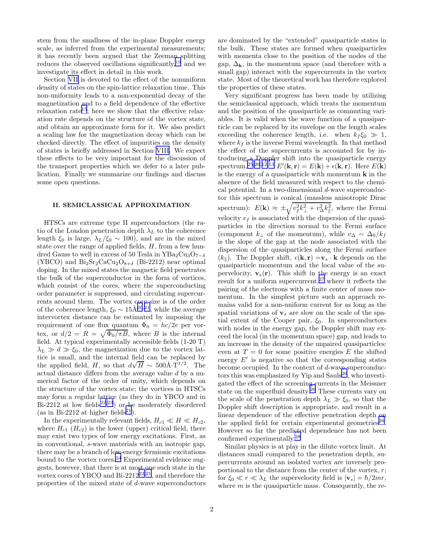stem from the smallness of the in-plane Doppler energy scale, as inferred from the experimental measurements; it has recently been argued that the Zeeman splitting reduces the observed oscillations significantly,[19](#page-23-0) and we investigate its effect in detail in this work.

Section [VII](#page-18-0) is devoted to the effect of the nonuniform density of states on the spin-lattice relaxation time. This non-uniformity leads to a non-exponential decay of the magnetization and to a field dependence of the effective relaxation rate<sup>[15](#page-23-0)</sup>; here we show that the effective relaxation rate depends on the structure of the vortex state, and obtain an approximate form for it. We also predict a scaling law for the magnetization decay which can be checked directly. The effect of impurities on the density of states is briefly addressed in Section [VIII.](#page-21-0) We expect these effects to be very important for the discussion of the transport properties which we defer to a later publication. Finally we summarize our findings and discuss some open questions.

### II. SEMICLASSICAL APPROXIMATION

HTSCs are extreme type II superconductors (the ratio of the London penetration depth  $\lambda_L$  to the coherence length  $\xi_0$  is large,  $\lambda_L/\xi_0 \sim 100$ , and are in the mixed state over the range of applied fields,  $H$ , from a few hundred Gauss to well in excess of 50 Tesla in YBa<sub>2</sub>Cu<sub>3</sub>O<sub>7−δ</sub> (YBCO) and  $Bi_2Sr_2CaCu_2O_{8+\delta}$  (Bi-2212) near optimal doping. In the mixed states the magnetic field penetrates the bulk of the superconductor in the form of vortices, which consist of the cores, where the superconducting order parameter is suppressed, and circulating supercurrents around them. The vortex core size is of the order of the coherence length,  $\xi_0 \sim 15\text{\AA}^{20,21}$  $\xi_0 \sim 15\text{\AA}^{20,21}$  $\xi_0 \sim 15\text{\AA}^{20,21}$  $\xi_0 \sim 15\text{\AA}^{20,21}$  $\xi_0 \sim 15\text{\AA}^{20,21}$ , while the average intervortex distance can be estimated by imposing the requirement of one flux quantum  $\Phi_0 = hc/2e$  per vortex, or  $d/2 = R = \sqrt{\Phi_0 / \pi B}$ , where B is the internal field. At typical experimentally accessible fields (1-20 T)  $\lambda_L \gg d \gg \xi_0$ , the magnetization due to the vortex lattice is small, and the internal field can be replaced by the applied field, H, so that  $d\sqrt{H} \sim 500 \text{\AA} \cdot \text{T}^{1/2}$ . The actual distance differs from the average value d by a numerical factor of the order of unity, which depends on the structure of the vortex state; the vortices in HTSCs may form a regular lattice (as they do in YBCO and in Bi-[22](#page-24-0)12 at low fields<sup>22,[23](#page-24-0)</sup>) or be moderately disordered (as in Bi-2[21](#page-24-0)2 at higher fields<sup>21</sup>).

In the experimentally relevant fields,  $H_{c1} \ll H \ll H_{c2}$ , where  $H_{c1}$  ( $H_{c2}$ ) is the lower (upper) critical field, there may exist two types of low energy excitations. First, as in conventional, s-wave materials with an isotropic gap, there may be a branch of low-energy fermionic excitations bound to the vortex cores. $24$  Experimental evidence suggests, however, that there is at most one such state in the vortex cores of YBCO and Bi-[22](#page-24-0)12<sup>22,[21](#page-24-0)</sup>, and therefore the properties of the mixed state of d-wave superconductors

are dominated by the "extended" quasiparticle states in the bulk. These states are formed when quasiparticles with momenta close to the position of the nodes of the gap,  $\Delta_k$ , in the momentum space (and therefore with a small gap) interact with the supercurrents in the vortex state. Most of the theoretical work has therefore explored the properties of these states.

Very significant progress has been made by utilizing the semiclassical approach, which treats the momentum and the position of the quasiparticle as commuting variables. It is valid when the wave function of a quasiparticle can be replaced by its envelope on the length scales exceeding the coherence length, i.e. when  $k_f \xi_0 \gg 1$ , where  $k_f$  is the inverse Fermi wavelength. In that method the effect of the supercurrents is accounted for by introducing a Doppler shift into the quasiparticle energy spectrum,<sup>[25](#page-24-0),[26](#page-24-0),[12](#page-23-0),[13](#page-23-0)</sup>  $E'(\mathbf{k}, \mathbf{r}) = E(\mathbf{k}) + \epsilon(\mathbf{k}, \mathbf{r})$ . Here  $E(\mathbf{k})$ is the energy of a quasiparticle with momentum  $\bf{k}$  in the absence of the field measured with respect to the chemical potential. In a two-dimensional d-wave superconductor this spectrum is conical (massless anisotropic Dirac spectrum):  $E(\mathbf{k}) \approx \pm \sqrt{v_f^2 k_\perp^2 + v_\Delta^2 k_\parallel^2}$ , where the Fermi velocity  $v_f$  is associated with the dispersion of the quasiparticles in the direction normal to the Fermi surface (component  $k_{\perp}$  of the momentum), while  $v_{\Delta} \sim \Delta_0/k_f$ is the slope of the gap at the node associated with the dispersion of the quasiparticles along the Fermi surface  $(k_{\parallel})$ . The Doppler shift,  $\epsilon(\mathbf{k}, \mathbf{r}) = \mathbf{v}_s \cdot \mathbf{k}$  depends on the quasiparticle momentum and the local value of the supervelocity,  $\mathbf{v}_s(\mathbf{r})$ . This shift in the energy is an exact result for a uniform supercurrent,  $27$  where it reflects the pairing of the electrons with a finite center of mass momentum. In the simplest picture such an approach remains valid for a non-uniform current for as long as the spatial variations of  $v_s$  are slow on the scale of the spatial extent of the Cooper pair,  $\xi_0$ . In superconductors with nodes in the energy gap, the Doppler shift may exceed the local (in the momentum space) gap, and leads to an increase in the density of the unpaired quasiparticles: even at  $T = 0$  for some positive energies E the shifted energy  $E'$  is negative so that the corresponding states become occupied. In the context of d-wave superconduc-tors this was emphasized by Yip and Sauls<sup>[26](#page-24-0)</sup>, who investigated the effect of the screening currents in the Meissner state on the superfluid density.<sup>[26](#page-24-0)</sup> These currents vary on the scale of the penetration depth  $\lambda_L \gg \xi_0$ , so that the Doppler shift description is appropriate, and result in a linear dependence of the effective penetration depth on the applied field for certain experimental geometries<sup>[26](#page-24-0)</sup>. However so far the predicted dependence has not been confirmed experimentally.[28](#page-24-0)

Similar physics is at play in the dilute vortex limit. At distances small compared to the penetration depth, supercurrents around an isolated vortex are inversely proportional to the distance from the center of the vortex,  $r$ ; for  $\xi_0 \ll r \ll \lambda_L$  the supervelocity field is  $|\mathbf{v}_s| = \hbar/2mr$ , where  $m$  is the quasiparticle mass. Consequently, the re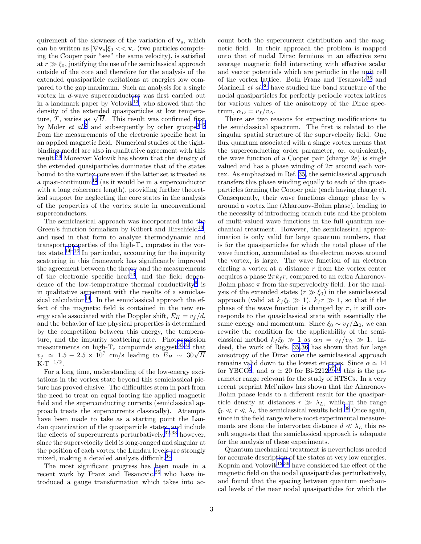quirement of the slowness of the variation of  $v_s$ , which can be written as  $|\nabla \mathbf{v}_s|\xi_0 \ll \mathbf{v}_s$  (two particles comprising the Cooper pair "see" the same velocity), is satisfied at  $r \gg \xi_0$ , justifying the use of the semiclassical approach outside of the core and therefore for the analysis of the extended quasiparticle excitations at energies low compared to the gap maximum. Such an analysis for a single vortex in d-wave superconductors was first carried out in a landmark paper by Volovik<sup>[12](#page-23-0)</sup>, who showed that the density of the extended quasiparticles at low temperature, T, varies as  $\sqrt{H}$ . This result was confirmed first by Moler *et al.*<sup>[2](#page-23-0)</sup> and subsequently by other groups<sup>[3](#page-23-0)–[5](#page-23-0)</sup> from the measurements of the electronic specific heat in an applied magnetic field. Numerical studies of the tightbinding model are also in qualitative agreement with this result.[29](#page-24-0) Moreover Volovik has shown that the density of the extended quasiparticles dominates that of the states bound to the vortex core even if the latter set is treated as a quasi-continuum<sup>[12](#page-23-0)</sup> (as it would be in a superconductor with a long coherence length), providing further theoretical support for neglecting the core states in the analysis of the properties of the vortex state in unconventional superconductors.

The semiclassical approach was incorporated into the Green's function formalism by Kübert and Hirschfeld<sup>[13](#page-23-0)</sup>, and used in that form to analyze thermodynamic and transport properties of the high- $T_c$  cuprates in the vor-tex state.<sup>[14](#page-23-0)–[16](#page-23-0)</sup> In particular, accounting for the impurity scattering in this framework has significantly improved the agreement between the theory and the measurements of the electronic specific heat<sup>[13](#page-23-0)</sup>, and the field depen-dence of the low-temperature thermal conductivity<sup>[9](#page-23-0)</sup> is in qualitative agreement with the results of a semiclas-sical calculation<sup>[14](#page-23-0)</sup>. In the semiclassical approach the effect of the magnetic field is contained in the new energy scale associated with the Doppler shift,  $E_H = v_f/d$ , and the behavior of the physical properties is determined by the competition between this energy, the temperature, and the impurity scattering rate. Photoemission measurements on high- $T_c$  compounds suggest<sup>[30](#page-24-0),[31](#page-24-0)</sup> that  $v_f \simeq 1.5 - 2.5 \times 10^7$  cm/s leading to  $E_H \sim 30\sqrt{H}$  $K \cdot T^{-1/2}$ .

For a long time, understanding of the low-energy excitations in the vortex state beyond this semiclassical picture has proved elusive. The difficulties stem in part from the need to treat on equal footing the applied magnetic field and the superconducting currents (semiclassical approach treats the supercurrents classically). Attempts have been made to take as a starting point the Landau quantization of the quasiparticle states, and include the effects of supercurrents perturbatively,  $^{32,33}$  $^{32,33}$  $^{32,33}$  $^{32,33}$  $^{32,33}$  however, since the supervelocity field is long-ranged and singular at the position of each vortex the Landau levels are strongly mixed, making a detailed analysis difficult.[34](#page-24-0)

The most significant progress has been made in a recent work by Franz and Tesanovic,<sup>[35](#page-24-0)</sup> who have introduced a gauge transformation which takes into account both the supercurrent distribution and the magnetic field. In their approach the problem is mapped onto that of nodal Dirac fermions in an effective zero average magnetic field interacting with effective scalar and vector potentials which are periodic in the unit cell of the vortex lattice. Both Franz and Tesanovic[35](#page-24-0) and Marinelli *et al.*<sup>[36](#page-24-0)</sup> have studied the band structure of the nodal quasiparticles for perfectly periodic vortex lattices for various values of the anisotropy of the Dirac spectrum,  $\alpha_D = v_f / v_{\Delta}$ .

There are two reasons for expecting modifications to the semiclassical spectrum. The first is related to the singular spatial structure of the supervelocity field. One flux quantum associated with a single vortex means that the superconducting order parameter, or, equivalently, the wave function of a Cooper pair (charge  $2e$ ) is single valued and has a phase winding of  $2\pi$  around each vortex. As emphasized in Ref. [35](#page-24-0), the semiclassical approach transfers this phase winding equally to each of the quasiparticles forming the Cooper pair (each having charge e). Consequently, their wave functions change phase by  $\pi$ around a vortex line (Aharonov-Bohm phase), leading to the necessity of introducing branch cuts and the problem of multi-valued wave functions in the full quantum mechanical treatment. However, the semiclassical approximation is only valid for large quantum numbers, that is for the quasiparticles for which the total phase of the wave function, accumulated as the electron moves around the vortex, is large. The wave function of an electron circling a vortex at a distance  $r$  from the vortex center acquires a phase  $2\pi k_f r$ , compared to an extra Aharonov-Bohm phase  $\pi$  from the supervelocity field. For the analysis of the extended states  $(r \gg \xi_0)$  in the semiclassical approach (valid at  $k_f \xi_0 \gg 1$ ),  $k_f r \gg 1$ , so that if the phase of the wave function is changed by  $\pi$ , it still corresponds to the quasiclassical state with essentially the same energy and momentum. Since  $\xi_0 \sim v_f / \Delta_0$ , we can rewrite the condition for the applicability of the semiclassical method  $k_f \xi_0 \gg 1$  as  $\alpha_D = v_f / v_\Delta \gg 1$ . Indeed, the work of Refs. [35,36](#page-24-0) has shown that for large anisotropy of the Dirac cone the semiclassical approach remains valid down to the lowest energies. Since  $\alpha \simeq 14$ for YBCO<sup>[9](#page-23-0)</sup>, and  $\alpha \simeq 20$  for Bi-2212<sup>[37](#page-24-0),[31](#page-24-0)</sup> this is the parameter range relevant for the study of HTSCs. In a very recent preprint Mel'nikov has shown that the Aharonov-Bohm phase leads to a different result for the quasiparticle density at distances  $r \gg \lambda_L$ , while in the range  $\xi_0 \ll r \ll \lambda_L$  the semiclassical results hold.<sup>[38](#page-24-0)</sup> Once again, since in the field range where most experimental measurements are done the intervortex distance  $d \ll \lambda_L$  this result suggests that the semiclassical approach is adequate for the analysis of these experiments.

Quantum mechanical treatment is nevertheless needed for accurate description of the states at very low energies. Kopnin and Volovik<sup>[12](#page-23-0),[39](#page-24-0)</sup> have considered the effect of the magnetic field on the nodal quasiparticles perturbatively, and found that the spacing between quantum mechanical levels of the near nodal quasiparticles for which the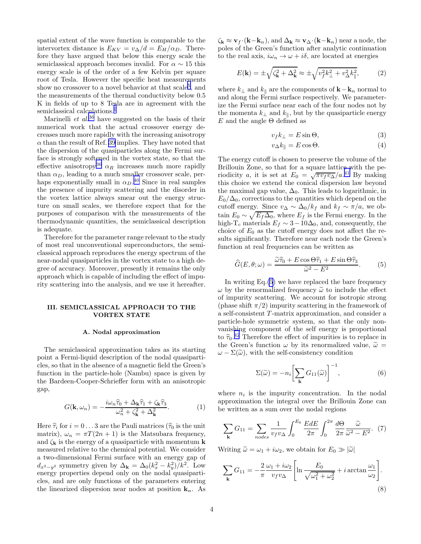<span id="page-4-0"></span>spatial extent of the wave function is comparable to the intervortex distance is  $E_{KV} = v_{\Delta}/d = E_H/\alpha_D$ . Therefore they have argued that below this energy scale the semiclassical approach becomes invalid. For  $\alpha \sim 15$  this energy scale is of the order of a few Kelvin per square root of Tesla. However the specific heat measurements show no crossover to a novel behavior at that  $\text{scale}^5$  $\text{scale}^5$ , and the measurements of the thermal conductivity below 0.5 K in fields of up to 8 Tesla are in agreement with the semiclassical calculations.<sup>[9](#page-23-0)</sup>

Marinelli *et al.*<sup>[36](#page-24-0)</sup> have suggested on the basis of their numerical work that the actual crossover energy decreases much more rapidly with the increasing anisotropy  $\alpha$  than the result of Ref. [39](#page-24-0) implies. They have noted that the dispersion of the quasiparticles along the Fermi surface is strongly softened in the vortex state, so that the effective anisotropy<sup>[36](#page-24-0)</sup>  $\alpha_R$  increases much more rapidly than  $\alpha_D$ , leading to a much smaller crossover scale, perhaps exponentially small in  $\alpha_D$ .<sup>[40](#page-24-0)</sup> Since in real samples the presence of impurity scattering and the disorder in the vortex lattice always smear out the energy structure on small scales, we therefore expect that for the purposes of comparison with the measurements of the thermodynamic quantities, the semiclassical description is adequate.

Therefore for the parameter range relevant to the study of most real unconventional superconductors, the semiclassical approach reproduces the energy spectrum of the near-nodal quasiparticles in the vortex state to a high degree of accuracy. Moreover, presently it remains the only approach which is capable of including the effect of impurity scattering into the analysis, and we use it hereafter.

#### III. SEMICLASSICAL APPROACH TO THE VORTEX STATE

#### A. Nodal approximation

The semiclassical approximation takes as its starting point a Fermi-liquid description of the nodal quasiparticles, so that in the absence of a magnetic field the Green's function in the particle-hole (Nambu) space is given by the Bardeen-Cooper-Schrieffer form with an anisotropic gap,

$$
G(\mathbf{k}, \omega_n) = -\frac{i\omega_n \hat{\tau}_0 + \Delta_\mathbf{k} \hat{\tau}_1 + \zeta_\mathbf{k} \hat{\tau}_3}{\omega_n^2 + \zeta_\mathbf{k}^2 + \Delta_\mathbf{k}^2}.
$$
 (1)

Here  $\hat{\tau}_i$  for  $i = 0 \ldots 3$  are the Pauli matrices ( $\hat{\tau}_0$  is the unit matrix),  $\omega_n = \pi T(2n + 1)$  is the Matsubara frequency, and  $\zeta_{\mathbf{k}}$  is the energy of a quasiparticle with momentum **k** measured relative to the chemical potential. We consider a two-dimensional Fermi surface with an energy gap of  $d_{x^2-y^2}$  symmetry given by  $\Delta_{\mathbf{k}} = \Delta_0 (k_x^2 - k_y^2)/k^2$ . Low energy properties depend only on the nodal quasiparticles, and are only functions of the parameters entering the linearized dispersion near nodes at position  $k_n$ . As  $\zeta_{\mathbf{k}} \approx \mathbf{v}_f \cdot (\mathbf{k}-\mathbf{k}_n)$ , and  $\Delta_{\mathbf{k}} \approx \mathbf{v}_{\Delta} \cdot (\mathbf{k}-\mathbf{k}_n)$  near a node, the poles of the Green's function after analytic continuation to the real axis,  $i\omega_n \to \omega + i\delta$ , are located at energies

$$
E(\mathbf{k}) = \pm \sqrt{\zeta_{\mathbf{k}}^2 + \Delta_{\mathbf{k}}^2} \approx \pm \sqrt{v_f^2 k_\perp^2 + v_\Delta^2 k_\parallel^2},\tag{2}
$$

where  $k_{\perp}$  and  $k_{\parallel}$  are the components of **k** - **k**<sub>n</sub> normal to and along the Fermi surface respectively. We parameterize the Fermi surface near each of the four nodes not by the momenta  $k_{\perp}$  and  $k_{\parallel}$ , but by the quasiparticle energy E and the angle  $\Theta$  defined as

$$
v_f k_\perp = E \sin \Theta,\tag{3}
$$

$$
v_{\Delta}k_{\parallel} = E\cos\Theta. \tag{4}
$$

The energy cutoff is chosen to preserve the volume of the Brillouin Zone, so that for a square lattice with the periodicity a, it is set at  $E_0 = \sqrt{\pi v_f v_\Delta}/a^{.41}$  $E_0 = \sqrt{\pi v_f v_\Delta}/a^{.41}$  $E_0 = \sqrt{\pi v_f v_\Delta}/a^{.41}$  By making this choice we extend the conical dispersion law beyond the maximal gap value,  $\Delta_0$ . This leads to logarithmic, in  $E_0/\Delta_0$ , corrections to the quantities which depend on the cutoff energy. Since  $v_{\Delta} \sim \Delta_0/k_f$  and  $k_f \sim \pi/a$ , we obtain  $E_0 \sim \sqrt{E_f \Delta_0}$ , where  $E_f$  is the Fermi energy. In the high-T<sub>c</sub> materials  $E_f \sim 3-10\Delta_0$ , and, consequently, the choice of  $E_0$  as the cutoff energy does not affect the results significantly. Therefore near each node the Green's function at real frequencies can be written as

$$
\widehat{G}(E,\theta;\omega) = \frac{\widetilde{\omega}\widehat{\tau}_0 + E\cos\Theta\widehat{\tau}_1 + E\sin\Theta\widehat{\tau}_3}{\widetilde{\omega}^2 - E^2}.
$$
 (5)

In writing Eq.(5) we have replaced the bare frequency  $\omega$  by the renormalized frequency  $\tilde{\omega}$  to include the effect of impurity scattering. We account for isotropic strong (phase shift  $\pi/2$ ) impurity scattering in the framework of a self-consistent T -matrix approximation, and consider a particle-hole symmetric system, so that the only nonvanishing component of the self energy is proportional to  $\hat{\tau}_0$ .<sup>[42](#page-24-0)</sup> Therefore the effect of impurities is to replace in the Green's function  $\omega$  by its renormalized value,  $\tilde{\omega} =$  $\omega - \Sigma(\tilde{\omega})$ , with the self-consistency condition

$$
\Sigma(\widetilde{\omega}) = -n_i \left[ \sum_{\mathbf{k}} G_{11}(\widetilde{\omega}) \right]^{-1}, \tag{6}
$$

where  $n_i$  is the impurity concentration. In the nodal approximation the integral over the Brillouin Zone can be written as a sum over the nodal regions

$$
\sum_{\mathbf{k}} G_{11} = \sum_{nodes} \frac{1}{v_f v_{\Delta}} \int_0^{E_0} \frac{EdE}{2\pi} \int_0^{2\pi} \frac{d\Theta}{2\pi} \frac{\widetilde{\omega}}{\widetilde{\omega}^2 - E^2} . \tag{7}
$$

Writing  $\tilde{\omega} = \omega_1 + i\omega_2$ , we obtain for  $E_0 \gg |\tilde{\omega}|$ 

$$
\sum_{\mathbf{k}} G_{11} = -\frac{2}{\pi} \frac{\omega_1 + i\omega_2}{v_f v_{\Delta}} \left[ \ln \frac{E_0}{\sqrt{\omega_1^2 + \omega_2^2}} + i \arctan \frac{\omega_1}{\omega_2} \right].
$$
\n(8)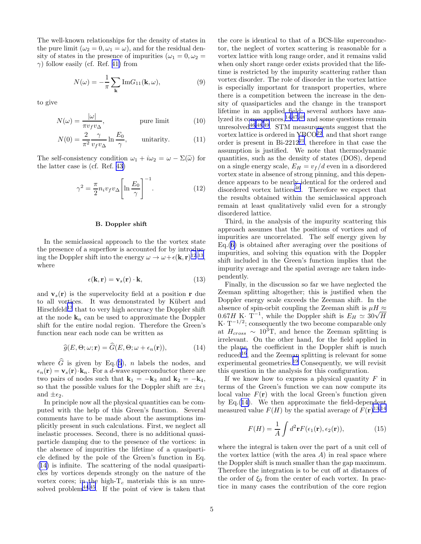<span id="page-5-0"></span>The well-known relationships for the density of states in the pure limit  $(\omega_2 = 0, \omega_1 = \omega)$ , and for the residual density of states in the presence of impurities ( $\omega_1 = 0, \omega_2 =$  $\gamma$ ) follow easily (cf. Ref. [41\)](#page-24-0) from

$$
N(\omega) = -\frac{1}{\pi} \sum_{\mathbf{k}} \text{Im} G_{11}(\mathbf{k}, \omega), \tag{9}
$$

to give

$$
N(\omega) = \frac{|\omega|}{\pi v_f v_\Delta}, \qquad \text{pure limit} \tag{10}
$$

$$
N(0) = \frac{2}{\pi^2} \frac{\gamma}{v_f v_\Delta} \ln \frac{E_0}{\gamma}, \qquad \text{unitarity.} \tag{11}
$$

The self-consistency condition  $\omega_1 + i\omega_2 = \omega - \Sigma(\tilde{\omega})$  for the latter case is (cf. Ref. [43\)](#page-24-0)

$$
\gamma^2 = \frac{\pi}{2} n_i v_f v_\Delta \left[ \ln \frac{E_0}{\gamma} \right]^{-1}.
$$
 (12)

#### B. Doppler shift

In the semiclassical approach to the the vortex state the presence of a superflow is accounted for by introducing the Doppler shift into the energy  $\omega \to \omega + \epsilon(\mathbf{k}, \mathbf{r})^{12,13}$  $\omega \to \omega + \epsilon(\mathbf{k}, \mathbf{r})^{12,13}$  $\omega \to \omega + \epsilon(\mathbf{k}, \mathbf{r})^{12,13}$  $\omega \to \omega + \epsilon(\mathbf{k}, \mathbf{r})^{12,13}$  $\omega \to \omega + \epsilon(\mathbf{k}, \mathbf{r})^{12,13}$ , where

$$
\epsilon(\mathbf{k}, \mathbf{r}) = \mathbf{v}_s(\mathbf{r}) \cdot \mathbf{k},\tag{13}
$$

and  $v_s(r)$  is the supervelocity field at a position r due to all vortices. It was demonstrated by Kübert and Hirschfeld<sup>[13](#page-23-0)</sup> that to very high accuracy the Doppler shift at the node  $\mathbf{k}_n$  can be used to approximate the Doppler shift for the entire nodal region. Therefore the Green's function near each node can be written as

$$
\widehat{g}(E,\Theta;\omega;\mathbf{r}) = \widehat{G}(E,\Theta;\omega+\epsilon_n(\mathbf{r})),\tag{14}
$$

where  $\widehat{G}$  is given by Eq.[\(5](#page-4-0)), n labels the nodes, and  $\epsilon_n(\mathbf{r}) = \mathbf{v}_s(\mathbf{r}) \cdot \mathbf{k}_n$ . For a d-wave superconductor there are two pairs of nodes such that  $\mathbf{k}_1 = -\mathbf{k}_3$  and  $\mathbf{k}_2 = -\mathbf{k}_4$ , so that the possible values for the Doppler shift are  $\pm \epsilon_1$ and  $\pm \epsilon_2$ .

In principle now all the physical quantities can be computed with the help of this Green's function. Several comments have to be made about the assumptions implicitly present in such calculations. First, we neglect all inelastic processes. Second, there is no additional quasiparticle damping due to the presence of the vortices: in the absence of impurities the lifetime of a quasiparticle defined by the pole of the Green's function in Eq. (14) is infinite. The scattering of the nodal quasiparticles by vortices depends strongly on the nature of the vortex cores; in the high- $T_c$  materials this is an unre-solved problem<sup>[44](#page-24-0),[45](#page-24-0)</sup>. If the point of view is taken that

the core is identical to that of a BCS-like superconductor, the neglect of vortex scattering is reasonable for a vortex lattice with long range order, and it remains valid when only short range order exists provided that the lifetime is restricted by the impurity scattering rather than vortex disorder. The role of disorder in the vortex lattice is especially important for transport properties, where there is a competition between the increase in the density of quasiparticles and the change in the transport lifetime in an applied field; several authors have analyzed its consequences,  $14,47,48$  $14,47,48$  $14,47,48$  $14,47,48$  $14,47,48$  and some questions remain unresolved $46,48,49$  $46,48,49$  $46,48,49$  $46,48,49$  $46,48,49$ . STM measurements suggest that the vortex lattice is ordered in  $YBCO<sup>22</sup>$  $YBCO<sup>22</sup>$  $YBCO<sup>22</sup>$ , and that short range order is present in Bi-2[21](#page-24-0)2<sup>21</sup>, therefore in that case the assumption is justified. We note that thermodynamic quantities, such as the density of states (DOS), depend on a single energy scale,  $E_H = v_f/d$  even in a disordered vortex state in absence of strong pinning, and this dependence appears to be nearly identical for the ordered and disordered vortex lattices $46$ . Therefore we expect that the results obtained within the semiclassical approach remain at least qualitatively valid even for a strongly disordered lattice.

Third, in the analysis of the impurity scattering this approach assumes that the positions of vortices and of impurities are uncorrelated. The self energy given by Eq.([6\)](#page-4-0) is obtained after averaging over the positions of impurities, and solving this equation with the Doppler shift included in the Green's function implies that the impurity average and the spatial average are taken independently.

Finally, in the discussion so far we have neglected the Zeeman splitting altogether; this is justified when the Doppler energy scale exceeds the Zeeman shift. In the absence of spin-orbit coupling the Zeeman shift is  $\mu H \approx$ 0.67H K· T<sup>-1</sup>, while the Doppler shift is  $E_H \simeq 30\sqrt{H}$ K·  $T^{-1/2}$ ; consequently the two become comparable only at  $H_{cross} \sim 10^3$ T, and hence the Zeeman splitting is irrelevant. On the other hand, for the field applied in the plane, the coefficient in the Doppler shift is much reduced<sup>[16](#page-23-0)</sup>, and the Zeeman splitting is relevant for some experimental geometries.[19](#page-23-0) Consequently, we will revisit this question in the analysis for this configuration.

If we know how to express a physical quantity  $F$  in terms of the Green's function we can now compute its local value  $F(\mathbf{r})$  with the local Green's function given by Eq.(14). We then approximate the field-dependent measured value  $F(H)$  by the spatial average of  $\tilde{F}(\mathbf{r})^{13,14}$  $\tilde{F}(\mathbf{r})^{13,14}$  $\tilde{F}(\mathbf{r})^{13,14}$  $\tilde{F}(\mathbf{r})^{13,14}$  $\tilde{F}(\mathbf{r})^{13,14}$ 

$$
F(H) = \frac{1}{A} \int d^2 \mathbf{r} F(\epsilon_1(\mathbf{r}), \epsilon_2(\mathbf{r})), \tag{15}
$$

where the integral is taken over the part of a unit cell of the vortex lattice (with the area  $A$ ) in real space where the Doppler shift is much smaller than the gap maximum. Therefore the integration is to be cut off at distances of the order of  $\xi_0$  from the center of each vortex. In practice in many cases the contribution of the core region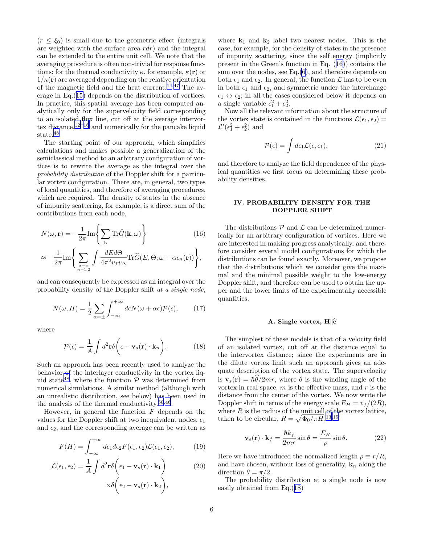<span id="page-6-0"></span> $(r \leq \xi_0)$  is small due to the geometric effect (integrals are weighted with the surface area  $rdr$ ) and the integral can be extended to the entire unit cell. We note that the averaging procedure is often non-trivial for response functions; for the thermal conductivity  $\kappa$ , for example,  $\kappa(\mathbf{r})$  or  $1/\kappa(\mathbf{r})$  are averaged depending on the relative orientation of the magnetic field and the heat current.<sup>[14](#page-23-0),[47](#page-24-0)</sup> The average in Eq.([15\)](#page-5-0) depends on the distribution of vortices. In practice, this spatial average has been computed analytically only for the supervelocity field corresponding to an isolated flux line, cut off at the average intervor-tex distance,<sup>[12](#page-23-0)–[16](#page-23-0)</sup> and numerically for the pancake liquid state.<sup>[48](#page-24-0)</sup>

The starting point of our approach, which simplifies calculations and makes possible a generalization of the semiclassical method to an arbitrary configuration of vortices is to rewrite the average as the integral over the probability distribution of the Doppler shift for a particular vortex configuration. There are, in general, two types of local quantities, and therefore of averaging procedures, which are required. The density of states in the absence of impurity scattering, for example, is a direct sum of the contributions from each node,

$$
N(\omega, \mathbf{r}) = -\frac{1}{2\pi} \text{Im} \left\{ \sum_{\mathbf{k}} \text{Tr}\hat{G}(\mathbf{k}, \omega) \right\}
$$
(16)  

$$
\approx -\frac{1}{2\pi} \text{Im} \left\{ \sum_{\substack{\alpha = \pm \\ n = 1, 2}} \int \frac{dEd\Theta}{4\pi^2 v_f v_{\Delta}} \text{Tr}\hat{G}(E, \Theta; \omega + \alpha \epsilon_n(\mathbf{r})) \right\},
$$

and can consequently be expressed as an integral over the probability density of the Doppler shift at a single node,

$$
N(\omega, H) = \frac{1}{2} \sum_{\alpha = \pm} \int_{-\infty}^{+\infty} d\epsilon N(\omega + \alpha \epsilon) \mathcal{P}(\epsilon), \qquad (17)
$$

where

$$
\mathcal{P}(\epsilon) = \frac{1}{A} \int d^2 \mathbf{r} \delta \left( \epsilon - \mathbf{v}_s(\mathbf{r}) \cdot \mathbf{k}_n \right).
$$
 (18)

Such an approach has been recently used to analyze the behavior of the interlayer conductivity in the vortex liq-uid state<sup>[48](#page-24-0)</sup>, where the function  $P$  was determined from numerical simulations. A similar method (although with an unrealistic distribution, see below) has been used in the analysis of the thermal conductivity.<sup>[50](#page-24-0),[46](#page-24-0)</sup>.

However, in general the function  $F$  depends on the values for the Doppler shift at two inequivalent nodes,  $\epsilon_1$ and  $\epsilon_2$ , and the corresponding average can be written as

$$
F(H) = \int_{-\infty}^{+\infty} d\epsilon_1 d\epsilon_2 F(\epsilon_1, \epsilon_2) \mathcal{L}(\epsilon_1, \epsilon_2), \tag{19}
$$

$$
\mathcal{L}(\epsilon_1, \epsilon_2) = \frac{1}{A} \int d^2 \mathbf{r} \delta \left( \epsilon_1 - \mathbf{v}_s(\mathbf{r}) \cdot \mathbf{k}_1 \right) \qquad (20)
$$

$$
\times \delta \left( \epsilon_2 - \mathbf{v}_s(\mathbf{r}) \cdot \mathbf{k}_2 \right),
$$

where  $k_1$  and  $k_2$  label two nearest nodes. This is the case, for example, for the density of states in the presence of impurity scattering, since the self energy (implicitly present in the Green's function in Eq. (16)) contains the sum over the nodes, see Eq.[\(6](#page-4-0)), and therefore depends on both  $\epsilon_1$  and  $\epsilon_2$ . In general, the function  $\mathcal L$  has to be even in both  $\epsilon_1$  and  $\epsilon_2$ , and symmetric under the interchange  $\epsilon_1 \leftrightarrow \epsilon_2$ ; in all the cases considered below it depends on a single variable  $\epsilon_1^2 + \epsilon_2^2$ .

Now all the relevant information about the structure of the vortex state is contained in the functions  $\mathcal{L}(\epsilon_1, \epsilon_2)$  =  $\mathcal{L}'(\epsilon_1^2 + \epsilon_2^2)$  and

$$
\mathcal{P}(\epsilon) = \int d\epsilon_1 \mathcal{L}(\epsilon, \epsilon_1), \tag{21}
$$

and therefore to analyze the field dependence of the physical quantities we first focus on determining these probability densities.

# IV. PROBABILITY DENSITY FOR THE DOPPLER SHIFT

The distributions  $P$  and  $\mathcal L$  can be determined numerically for an arbitrary configuration of vortices. Here we are interested in making progress analytically, and therefore consider several model configurations for which the distributions can be found exactly. Moreover, we propose that the distributions which we consider give the maximal and the minimal possible weight to the low-energy Doppler shift, and therefore can be used to obtain the upper and the lower limits of the experimentally accessible quantities.

### A. Single vortex,  $H\hat{c}$

The simplest of these models is that of a velocity field of an isolated vortex, cut off at the distance equal to the intervortex distance; since the experiments are in the dilute vortex limit such an approach gives an adequate description of the vortex state. The supervelocity is  $\mathbf{v}_s(\mathbf{r}) = \hbar \hat{\theta}/2mr$ , where  $\theta$  is the winding angle of the vortex in real space,  $m$  is the effective mass, and  $r$  is the distance from the center of the vortex. We now write the Doppler shift in terms of the energy scale  $E_H = v_f/(2R)$ , where  $R$  is the radius of the unit cell of the vortex lattice, taken to be circular,  $R = \sqrt{\Phi_0 / \pi H},$ <sup>[13](#page-23-0),[15](#page-23-0)</sup>

$$
\mathbf{v}_s(\mathbf{r}) \cdot \mathbf{k}_f = \frac{\hbar k_f}{2mr} \sin \theta = \frac{E_H}{\rho} \sin \theta. \tag{22}
$$

Here we have introduced the normalized length  $\rho \equiv r/R$ , and have chosen, without loss of generality,  $\mathbf{k}_n$  along the direction  $\theta = \pi/2$ .

The probability distribution at a single node is now easily obtained from Eq.(18)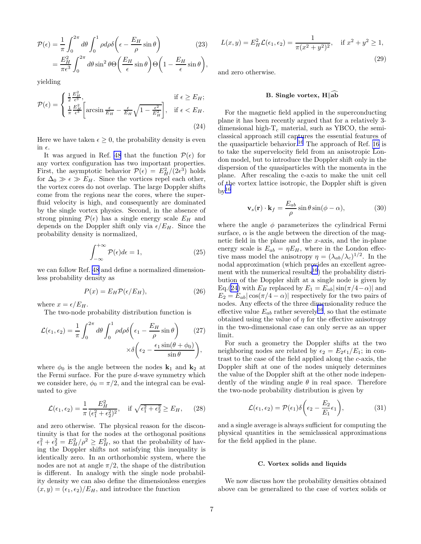<span id="page-7-0"></span>
$$
\mathcal{P}(\epsilon) = \frac{1}{\pi} \int_0^{2\pi} d\theta \int_0^1 \rho d\rho \delta\left(\epsilon - \frac{E_H}{\rho} \sin \theta\right) \tag{23}
$$
\n
$$
= \frac{E_H^2}{\pi \epsilon^3} \int_0^{2\pi} d\theta \sin^2 \theta \Theta\left(\frac{E_H}{\epsilon} \sin \theta\right) \Theta\left(1 - \frac{E_H}{\epsilon} \sin \theta\right),
$$

yielding

$$
\mathcal{P}(\epsilon) = \begin{cases} \frac{1}{2} \frac{E_H^2}{\epsilon^3}, & \text{if } \epsilon \ge E_H; \\ \frac{1}{\pi} \frac{E_H^2}{\epsilon^3} \left[ \arcsin \frac{\epsilon}{E_H} - \frac{\epsilon}{E_H} \sqrt{1 - \frac{\epsilon^2}{E_H^2}} \right], & \text{if } \epsilon < E_H. \end{cases}
$$
\n
$$
(24)
$$

Here we have taken  $\epsilon \geq 0$ , the probability density is even in  $\epsilon$ .

It was argued in Ref. [48](#page-24-0) that the function  $\mathcal{P}(\epsilon)$  for any vortex configuration has two important properties. First, the asymptotic behavior  $\mathcal{P}(\epsilon) = E_H^2/(2\epsilon^3)$  holds for  $\Delta_0 \gg \epsilon \gg E_H$ . Since the vortices repel each other, the vortex cores do not overlap. The large Doppler shifts come from the regions near the cores, where the superfluid velocity is high, and consequently are dominated by the single vortex physics. Second, in the absence of strong pinning  $\mathcal{P}(\epsilon)$  has a single energy scale  $E_H$  and depends on the Doppler shift only via  $\epsilon/E_H$ . Since the probability density is normalized,

$$
\int_{-\infty}^{+\infty} \mathcal{P}(\epsilon) d\epsilon = 1,
$$
\n(25)

we can follow Ref. [48](#page-24-0) and define a normalized dimensionless probability density as

$$
P(x) = E_H \mathcal{P}(\epsilon/E_H),\tag{26}
$$

where  $x = \epsilon/E_H$ .

The two-node probability distribution function is

$$
\mathcal{L}(\epsilon_1, \epsilon_2) = \frac{1}{\pi} \int_0^{2\pi} d\theta \int_0^1 \rho d\rho \delta\left(\epsilon_1 - \frac{E_H}{\rho} \sin \theta\right) \qquad (27)
$$

$$
\times \delta\left(\epsilon_2 - \frac{\epsilon_1 \sin(\theta + \phi_0)}{\sin \theta}\right),
$$

where  $\phi_0$  is the angle between the nodes  $\mathbf{k}_1$  and  $\mathbf{k}_2$  at the Fermi surface. For the pure d-wave symmetry which we consider here,  $\phi_0 = \pi/2$ , and the integral can be evaluated to give

$$
\mathcal{L}(\epsilon_1, \epsilon_2) = \frac{1}{\pi} \frac{E_H^2}{(\epsilon_1^2 + \epsilon_2^2)^2}, \quad \text{if } \sqrt{\epsilon_1^2 + \epsilon_2^2} \ge E_H,\qquad(28)
$$

and zero otherwise. The physical reason for the discontinuity is that for the nodes at the orthogonal positions  $\epsilon_1^2 + \epsilon_2^2 = E_H^2/\rho^2 \geq E_H^2$ , so that the probability of having the Doppler shifts not satisfying this inequality is identically zero. In an orthorhombic system, where the nodes are not at angle  $\pi/2$ , the shape of the distribution is different. In analogy with the single node probability density we can also define the dimensionless energies  $(x, y) = (\epsilon_1, \epsilon_2)/E_H$ , and introduce the function

$$
L(x,y) = E_H^2 \mathcal{L}(\epsilon_1, \epsilon_2) = \frac{1}{\pi (x^2 + y^2)^2}, \quad \text{if } x^2 + y^2 \ge 1,
$$
\n(29)

and zero otherwise.

# B. Single vortex,  $H\|_0$ ab

For the magnetic field applied in the superconducting plane it has been recently argued that for a relatively 3 dimensional high- $T_c$  material, such as YBCO, the semiclassical approach still captures the essential features of the quasiparticle behavior.<sup>[16](#page-23-0)</sup> The approach of Ref. [16](#page-23-0) is to take the supervelocity field from an anisotropic London model, but to introduce the Doppler shift only in the dispersion of the quasiparticles with the momenta in the plane. After rescaling the c-axis to make the unit cell of the vortex lattice isotropic, the Doppler shift is given  $\rm{bv}^{16}$  $\rm{bv}^{16}$  $\rm{bv}^{16}$ 

$$
\mathbf{v}_s(\mathbf{r}) \cdot \mathbf{k}_f = \frac{E_{ab}}{\rho} \sin \theta \sin(\phi - \alpha), \tag{30}
$$

where the angle  $\phi$  parameterizes the cylindrical Fermi surface,  $\alpha$  is the angle between the direction of the magnetic field in the plane and the  $x$ -axis, and the in-plane energy scale is  $E_{ab} = \eta E_H$ , where in the London effective mass model the anisotropy  $\eta = (\lambda_{ab}/\lambda_c)^{1/2}$ . In the nodal approximation (which provides an excellent agree-ment with the numerical results<sup>[16](#page-23-0)</sup>) the probability distribution of the Doppler shift at a single node is given by Eq.(24) with  $E_H$  replaced by  $E_1 = E_{ab} |\sin(\pi/4 - \alpha)|$  and  $E_2 = E_{ab} |\cos(\pi/4 - \alpha)|$  respectively for the two pairs of nodes. Any effects of the three dimensionality reduce the effective value  $E_{ab}$  rather severely<sup>[16](#page-23-0)</sup>, so that the estimate obtained using the value of  $\eta$  for the effective anisotropy in the two-dimensional case can only serve as an upper limit.

For such a geometry the Doppler shifts at the two neighboring nodes are related by  $\epsilon_2 = E_2 \epsilon_1 / E_1$ ; in contrast to the case of the field applied along the c-axis, the Doppler shift at one of the nodes uniquely determines the value of the Doppler shift at the other node independently of the winding angle  $\theta$  in real space. Therefore the two-node probability distribution is given by

$$
\mathcal{L}(\epsilon_1, \epsilon_2) = \mathcal{P}(\epsilon_1) \delta \left( \epsilon_2 - \frac{E_2}{E_1} \epsilon_1 \right), \tag{31}
$$

and a single average is always sufficient for computing the physical quantities in the semiclassical approximations for the field applied in the plane.

#### C. Vortex solids and liquids

We now discuss how the probability densities obtained above can be generalized to the case of vortex solids or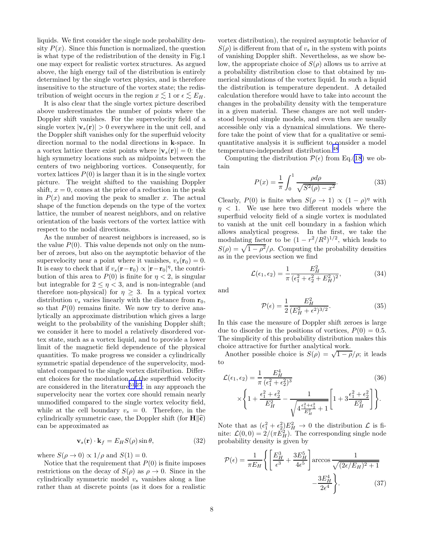<span id="page-8-0"></span>liquids. We first consider the single node probability density  $P(x)$ . Since this function is normalized, the question is what type of the redistribution of the density in Fig.1 one may expect for realistic vortex structures. As argued above, the high energy tail of the distribution is entirely determined by the single vortex physics, and is therefore insensitive to the structure of the vortex state; the redistribution of weight occurs in the region  $x \leq 1$  or  $\epsilon \leq E_H$ .

It is also clear that the single vortex picture described above underestimates the number of points where the Doppler shift vanishes. For the supervelocity field of a single vortex  $|\mathbf{v}_s(\mathbf{r})| > 0$  everywhere in the unit cell, and the Doppler shift vanishes only for the superfluid velocity direction normal to the nodal directions in k-space. In a vortex lattice there exist points where  $|\mathbf{v}_s(\mathbf{r})| = 0$ : the high symmetry locations such as midpoints between the centers of two neighboring vortices. Consequently, for vortex lattices  $P(0)$  is larger than it is in the single vortex picture. The weight shifted to the vanishing Doppler shift,  $x = 0$ , comes at the price of a reduction in the peak in  $P(x)$  and moving the peak to smaller x. The actual shape of the function depends on the type of the vortex lattice, the number of nearest neighbors, and on relative orientation of the basis vectors of the vortex lattice with respect to the nodal directions.

As the number of nearest neighbors is increased, so is the value  $P(0)$ . This value depends not only on the number of zeroes, but also on the asymptotic behavior of the supervelocity near a point where it vanishes,  $v_s(\mathbf{r}_0) = 0$ . It is easy to check that if  $v_s(\mathbf{r}-\mathbf{r}_0) \propto |\mathbf{r}-\mathbf{r}_0|^{\eta}$ , the contribution of this area to  $P(0)$  is finite for  $\eta < 2$ , is singular but integrable for  $2 \leq n \leq 3$ , and is non-integrable (and therefore non-physical) for  $\eta \geq 3$ . In a typical vortex distribution  $v_s$  varies linearly with the distance from  $r_0$ , so that  $P(0)$  remains finite. We now try to derive analytically an approximate distribution which gives a large weight to the probability of the vanishing Doppler shift; we consider it here to model a relatively disordered vortex state, such as a vortex liquid, and to provide a lower limit of the magnetic field dependence of the physical quantities. To make progress we consider a cylindrically symmetric spatial dependence of the supervelocity, modulated compared to the single vortex distribution. Different choices for the modulation of the superfluid velocity are considered in the literature<sup>[51](#page-24-0),[27](#page-24-0)</sup>; in any approach the supervelocity near the vortex core should remain nearly unmodified compared to the single vortex velocity field, while at the cell boundary  $v_s = 0$ . Therefore, in the cylindrically symmetric case, the Doppler shift (for  $\mathbf{H} \parallel \hat{\mathbf{c}}$ ) can be approximated as

$$
\mathbf{v}_s(\mathbf{r}) \cdot \mathbf{k}_f = E_H S(\rho) \sin \theta,\tag{32}
$$

where  $S(\rho \to 0) \propto 1/\rho$  and  $S(1) = 0$ .

Notice that the requirement that  $P(0)$  is finite imposes restrictions on the decay of  $S(\rho)$  as  $\rho \to 0$ . Since in the cylindrically symmetric model  $v<sub>s</sub>$  vanishes along a line rather than at discrete points (as it does for a realistic

vortex distribution), the required asymptotic behavior of  $S(\rho)$  is different from that of  $v_s$  in the system with points of vanishing Doppler shift. Nevertheless, as we show below, the appropriate choice of  $S(\rho)$  allows us to arrive at a probability distribution close to that obtained by numerical simulations of the vortex liquid. In such a liquid the distribution is temperature dependent. A detailed calculation therefore would have to take into account the changes in the probability density with the temperature in a given material. These changes are not well understood beyond simple models, and even then are usually accessible only via a dynamical simulations. We therefore take the point of view that for a qualitative or semiquantitative analysis it is sufficient to consider a model temperature-independent distribution.[48](#page-24-0)

Computing the distribution  $\mathcal{P}(\epsilon)$  from Eq.[\(18](#page-6-0)) we obtain

$$
P(x) = \frac{1}{\pi} \int_0^1 \frac{\rho d\rho}{\sqrt{S^2(\rho) - x^2}}.
$$
 (33)

Clearly,  $P(0)$  is finite when  $S(\rho \to 1) \propto (1 - \rho)^{\eta}$  with  $\eta$  < 1. We use here two different models where the superfluid velocity field of a single vortex is modulated to vanish at the unit cell boundary in a fashion which allows analytical progress. In the first, we take the modulating factor to be  $(1 - r^2/R^2)^{1/2}$ , which leads to  $S(\rho) = \sqrt{1 - \rho^2}/\rho$ . Computing the probability densities as in the previous section we find

$$
\mathcal{L}(\epsilon_1, \epsilon_2) = \frac{1}{\pi} \frac{E_H^2}{(\epsilon_1^2 + \epsilon_2^2 + E_H^2)^2},\tag{34}
$$

and

$$
\mathcal{P}(\epsilon) = \frac{1}{2} \frac{E_H^2}{(E_H^2 + \epsilon^2)^{3/2}}.
$$
\n(35)

In this case the measure of Doppler shift zeroes is large due to disorder in the positions of vortices,  $P(0) = 0.5$ . The simplicity of this probability distribution makes this choice attractive for further analytical work.

Another possible choice is  $S(\rho) = \sqrt{1 - \rho}/\rho$ ; it leads to

$$
\mathcal{L}(\epsilon_1, \epsilon_2) = \frac{1}{\pi} \frac{E_H^4}{(\epsilon_1^2 + \epsilon_2^2)^3}
$$
(36)  

$$
\times \left\{ 1 + \frac{\epsilon_1^2 + \epsilon_2^2}{E_H^2} - \frac{1}{\sqrt{4 \frac{\epsilon_1^2 + \epsilon_2^2}{E_H^2} + 1}} \left[ 1 + 3 \frac{\epsilon_1^2 + \epsilon_2^2}{E_H^2} \right] \right\}.
$$

Note that as  $(\epsilon_1^2 + \epsilon_2^2)E_H^2 \to 0$  the distribution  $\mathcal L$  is finite:  $\mathcal{L}(0,0) = 2/(\pi \vec{E_H^2})$ . The corresponding single node probability density is given by

$$
\mathcal{P}(\epsilon) = \frac{1}{\pi E_H} \left\{ \left[ \frac{E_H^3}{\epsilon^3} + \frac{3E_H^5}{4\epsilon^5} \right] \arccos \frac{1}{\sqrt{(2\epsilon/E_H)^2 + 1}} - \frac{3E_H^4}{2\epsilon^4} \right\}.
$$
 (37)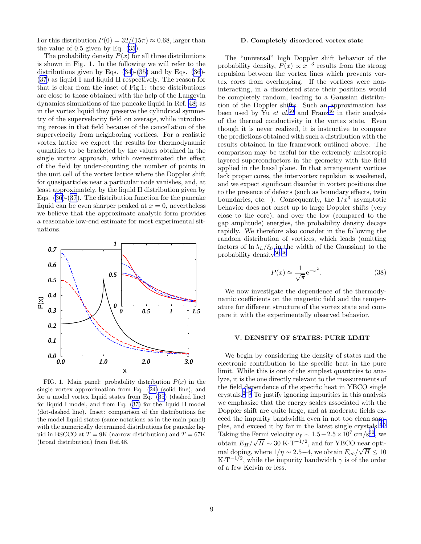<span id="page-9-0"></span>For this distribution  $P(0) = 32/(15\pi) \approx 0.68$ , larger than the value of 0.5 given by Eq. [\(35](#page-8-0)).

The probability density  $P(x)$  for all three distributions is shown in Fig. 1. In the following we will refer to the distributionsgiven by Eqs.  $(34)-(35)$  $(34)-(35)$  and by Eqs.  $(36) (36) (36)-$ ([37\)](#page-8-0) as liquid I and liquid II respectively. The reason for that is clear from the inset of Fig.1: these distributions are close to those obtained with the help of the Langevin dynamics simulations of the pancake liquid in Ref. [48;](#page-24-0) as in the vortex liquid they preserve the cylindrical symmetry of the supervelocity field on average, while introducing zeroes in that field because of the cancellation of the supervelocity from neighboring vortices. For a realistic vortex lattice we expect the results for thermodynamic quantities to be bracketed by the values obtained in the single vortex approach, which overestimated the effect of the field by under-counting the number of points in the unit cell of the vortex lattice where the Doppler shift for quasiparticles near a particular node vanishes, and, at least approximately, by the liquid II distribution given by Eqs.([36\)](#page-8-0)-([37\)](#page-8-0). The distribution function for the pancake liquid can be even sharper peaked at  $x = 0$ , nevertheless we believe that the approximate analytic form provides a reasonable low-end estimate for most experimental situations.



FIG. 1. Main panel: probability distribution  $P(x)$  in the single vortex approximation from Eq. [\(24\)](#page-7-0) (solid line), and for a model vortex liquid states from Eq. [\(35](#page-8-0)) (dashed line) for liquid I model, and from Eq. [\(37\)](#page-8-0) for the liquid II model (dot-dashed line). Inset: comparison of the distributions for the model liquid states (same notations as in the main panel) with the numerically determined distributions for pancake liquid in BSCCO at  $T = 9K$  (narrow distribution) and  $T = 67K$ (broad distribution) from Ref.48.

# D. Completely disordered vortex state

The "universal" high Doppler shift behavior of the probability density,  $P(x) \propto x^{-3}$  results from the strong repulsion between the vortex lines which prevents vortex cores from overlapping. If the vortices were noninteracting, in a disordered state their positions would be completely random, leading to a Gaussian distribution of the Doppler shifts. Such an approximation has been used by Yu et al.<sup>[50](#page-24-0)</sup> and Franz<sup>[46](#page-24-0)</sup> in their analysis of the thermal conductivity in the vortex state. Even though it is never realized, it is instructive to compare the predictions obtained with such a distribution with the results obtained in the framework outlined above. The comparison may be useful for the extremely anisotropic layered superconductors in the geometry with the field applied in the basal plane. In that arrangement vortices lack proper cores, the intervortex repulsion is weakened, and we expect significant disorder in vortex positions due to the presence of defects (such as boundary effects, twin boundaries, etc. ). Consequently, the  $1/x^3$  asymptotic behavior does not onset up to large Doppler shifts (very close to the core), and over the low (compared to the gap amplitude) energies, the probability density decays rapidly. We therefore also consider in the following the random distribution of vortices, which leads (omitting factors of  $\ln \lambda_L/\xi_0$  in the width of the Gaussian) to the probability density<sup>[50](#page-24-0),[46](#page-24-0)</sup>

$$
P(x) \approx \frac{1}{\sqrt{\pi}} e^{-x^2}.
$$
 (38)

We now investigate the dependence of the thermodynamic coefficients on the magnetic field and the temperature for different structure of the vortex state and compare it with the experimentally observed behavior.

#### V. DENSITY OF STATES: PURE LIMIT

We begin by considering the density of states and the electronic contribution to the specific heat in the pure limit. While this is one of the simplest quantities to analyze, it is the one directly relevant to the measurements of the field dependence of the specific heat in YBCO single crystals.<sup>[2](#page-23-0)–[5](#page-23-0)</sup> To justify ignoring impurities in this analysis we emphasize that the energy scales associated with the Doppler shift are quite large, and at moderate fields exceed the impurity bandwidth even in not too clean samples, and exceed it by far in the latest single crystals.[4](#page-23-0),[5](#page-23-0) Taking the Fermi velocity  $v_f \sim 1.5 - 2.5 \times 10^7$  cm/s<sup>[30](#page-24-0)</sup>, we obtain  $E_H/\sqrt{H} \sim 30 \text{ K} \cdot \text{T}^{-1/2}$ , and for YBCO near optimal doping, where  $1/\eta \sim 2.5-4$ , we obtain  $E_{ab}/\sqrt{H} \leq 10$  $K \cdot T^{-1/2}$ , while the impurity bandwidth  $\gamma$  is of the order of a few Kelvin or less.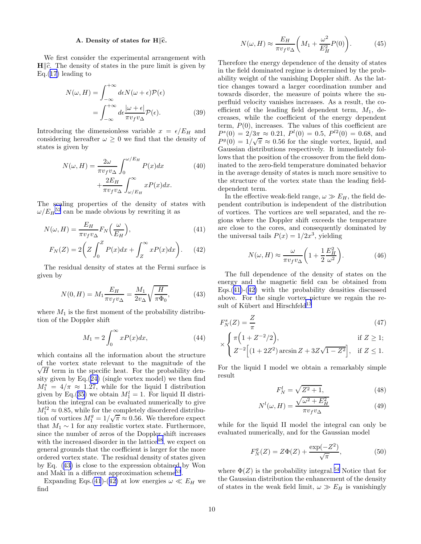# A. Density of states for  $H\|\hat{c}$ .

<span id="page-10-0"></span>We first consider the experimental arrangement with  $H\|\hat{c}$ . The density of states in the pure limit is given by  $Eq.(17)$  $Eq.(17)$  leading to

$$
N(\omega, H) = \int_{-\infty}^{+\infty} d\epsilon N(\omega + \epsilon) \mathcal{P}(\epsilon)
$$

$$
= \int_{-\infty}^{+\infty} d\epsilon \frac{|\omega + \epsilon|}{\pi v_f v_{\Delta}} \mathcal{P}(\epsilon).
$$
(39)

Introducing the dimensionless variable  $x = \epsilon/E_H$  and considering hereafter  $\omega \geq 0$  we find that the density of states is given by

$$
N(\omega, H) = \frac{2\omega}{\pi v_f v_{\Delta}} \int_0^{\omega/E_H} P(x) dx
$$
 (40)  
 
$$
+ \frac{2E_H}{\pi v_f v_{\Delta}} \int_{\omega/E_H}^{\infty} x P(x) dx.
$$

The scaling properties of the density of states with  $\omega/E_H^{52}$  $\omega/E_H^{52}$  $\omega/E_H^{52}$  can be made obvious by rewriting it as

$$
N(\omega, H) = \frac{E_H}{\pi v_f v_\Delta} F_N\left(\frac{\omega}{E_H}\right),\tag{41}
$$

$$
F_N(Z) = 2\left(Z \int_0^Z P(x)dx + \int_Z^\infty xP(x)dx\right). \tag{42}
$$

The residual density of states at the Fermi surface is given by

$$
N(0, H) = M_1 \frac{E_H}{\pi v_f v_{\Delta}} = \frac{M_1}{2v_{\Delta}} \sqrt{\frac{H}{\pi \Phi_0}},
$$
(43)

where  $M_1$  is the first moment of the probability distribution of the Doppler shift

$$
M_1 = 2 \int_0^\infty x P(x) dx,\tag{44}
$$

which contains all the information about the structure of the vortex state relevant to the magnitude of the  $\sqrt{H}$  term in the specific heat. For the probability density given by  $Eq.(24)$  $Eq.(24)$  (single vortex model) we then find  $M_1^s = 4/\pi \approx 1.27$ , while for the liquid I distribution given by Eq.([35\)](#page-8-0) we obtain  $M_1^l = 1$ . For liquid II distribution the integral can be evaluated numerically to give  $M_1^{l2} \approx 0.85$ , while for the completely disordered distribution of vortices  $M_1^g = 1/\sqrt{\pi} \approx 0.56$ . We therefore expect that  $M_1 \sim 1$  for any realistic vortex state. Furthermore, since the number of zeros of the Doppler shift increases with the increased disorder in the lattice<sup>[48](#page-24-0)</sup>, we expect on general grounds that the coefficient is larger for the more ordered vortex state. The residual density of states given by Eq. (43) is close to the expression obtained by Won and Maki in a different approximation scheme<sup>[53](#page-24-0)</sup>.

Expanding Eqs.(41)-(42) at low energies  $\omega \ll E_H$  we find

$$
N(\omega, H) \approx \frac{E_H}{\pi v_f v_\Delta} \bigg( M_1 + \frac{\omega^2}{E_H^2} P(0) \bigg). \tag{45}
$$

Therefore the energy dependence of the density of states in the field dominated regime is determined by the probability weight of the vanishing Doppler shift. As the lattice changes toward a larger coordination number and towards disorder, the measure of points where the superfluid velocity vanishes increases. As a result, the coefficient of the leading field dependent term,  $M_1$ , decreases, while the coefficient of the energy dependent term,  $P(0)$ , increases. The values of this coefficient are  $P^{s}(0) = 2/3\pi \approx 0.21, P^{l}(0) = 0.5, P^{l2}(0) = 0.68, \text{ and}$  $P^g(0) = 1/\sqrt{\pi} \approx 0.56$  for the single vortex, liquid, and Gaussian distributions respectively. It immediately follows that the position of the crossover from the field dominated to the zero-field temperature dominated behavior in the average density of states is much more sensitive to the structure of the vortex state than the leading fielddependent term.

In the effective weak-field range,  $\omega \gg E_H$ , the field dependent contribution is independent of the distribution of vortices. The vortices are well separated, and the regions where the Doppler shift exceeds the temperature are close to the cores, and consequently dominated by the universal tails  $P(x) = 1/2x^3$ , yielding

$$
N(\omega, H) \approx \frac{\omega}{\pi v_f v_{\Delta}} \left( 1 + \frac{1}{2} \frac{E_H^2}{\omega^2} \right). \tag{46}
$$

The full dependence of the density of states on the energy and the magnetic field can be obtained from Eqs. $(41)-(42)$  with the probability densities discussed above. For the single vortex picture we regain the result of Kübert and Hirschfeld $^{13}$  $^{13}$  $^{13}$ 

$$
F_N^s(Z) = \frac{Z}{\pi} \tag{47}
$$

$$
\times \begin{cases} \pi \Big( 1 + Z^{-2}/2 \Big), & \text{if } Z \ge 1; \\ Z^{-2} \Big[ (1 + 2Z^2) \arcsin Z + 3Z\sqrt{1 - Z^2} \Big], & \text{if } Z \le 1. \end{cases}
$$

For the liquid I model we obtain a remarkably simple result

$$
F_N^l = \sqrt{Z^2 + 1},\tag{48}
$$

$$
N^{l}(\omega, H) = \frac{\sqrt{\omega^{2} + E_{H}^{2}}}{\pi v_{f} v_{\Delta}} \tag{49}
$$

while for the liquid II model the integral can only be evaluated numerically, and for the Gaussian model

$$
F_N^g(Z) = Z\Phi(Z) + \frac{\exp(-Z^2)}{\sqrt{\pi}},
$$
\n(50)

where  $\Phi(Z)$  is the probability integral.<sup>[54](#page-24-0)</sup> Notice that for the Gaussian distribution the enhancement of the density of states in the weak field limit,  $\omega \gg E_H$  is vanishingly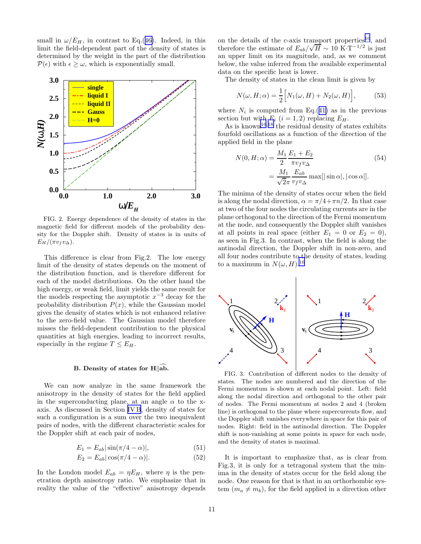<span id="page-11-0"></span>small in  $\omega/E_H$ , in contrast to Eq.([46\)](#page-10-0). Indeed, in this limit the field-dependent part of the density of states is determined by the weight in the part of the distribution  $P(\epsilon)$  with  $\epsilon \geq \omega$ , which is exponentially small.



FIG. 2. Energy dependence of the density of states in the magnetic field for different models of the probability density for the Doppler shift. Density of states is in units of  $E_H/(\pi v_f v_\Delta)$ .

This difference is clear from Fig.2. The low energy limit of the density of states depends on the moment of the distribution function, and is therefore different for each of the model distributions. On the other hand the high energy, or weak field, limit yields the same result for the models respecting the asymptotic  $x^{-3}$  decay for the probability distribution  $P(x)$ , while the Gaussian model gives the density of states which is not enhanced relative to the zero-field value. The Gaussian model therefore misses the field-dependent contribution to the physical quantities at high energies, leading to incorrect results, especially in the regime  $T \leq E_H$ .

# B. Density of states for  $H\|_{\mathbf{a}}\widehat{\mathbf{b}}$ .

We can now analyze in the same framework the anisotropy in the density of states for the field applied in the superconducting plane, at an angle  $\alpha$  to the xaxis. As discussed in Section [IV B](#page-7-0), density of states for such a configuration is a sum over the two inequivalent pairs of nodes, with the different characteristic scales for the Doppler shift at each pair of nodes,

$$
E_1 = E_{ab} |\sin(\pi/4 - \alpha)|,\tag{51}
$$

$$
E_2 = E_{ab} |\cos(\pi/4 - \alpha)|. \tag{52}
$$

In the London model  $E_{ab} = \eta E_H$ , where  $\eta$  is the penetration depth anisotropy ratio. We emphasize that in reality the value of the "effective" anisotropy depends

on the details of the c-axis transport properties<sup>[16](#page-23-0)</sup>, and therefore the estimate of  $E_{ab}/\sqrt{H} \sim 10 \text{ K} \cdot \text{T}^{-1/2}$  is just an upper limit on its magnitude, and, as we comment below, the value inferred from the available experimental data on the specific heat is lower.

The density of states in the clean limit is given by

$$
N(\omega, H; \alpha) = \frac{1}{2} \Big[ N_1(\omega, H) + N_2(\omega, H) \Big], \tag{53}
$$

where  $N_i$  is computed from Eq.([41\)](#page-10-0) as in the previous section but with  $E_i$   $(i = 1, 2)$  replacing  $E_H$ .

As is known<sup>[16](#page-23-0),[18](#page-23-0)</sup> the residual density of states exhibits fourfold oscillations as a function of the direction of the applied field in the plane

$$
N(0, H; \alpha) = \frac{M_1}{2} \frac{E_1 + E_2}{\pi v_f v_{\Delta}}
$$
  
= 
$$
\frac{M_1}{\sqrt{2\pi}} \frac{E_{ab}}{v_f v_{\Delta}}
$$
max[|\sin \alpha|, |\cos \alpha|]. (54)

The minima of the density of states occur when the field is along the nodal direction,  $\alpha = \pi/4 + \pi n/2$ . In that case at two of the four nodes the circulating currents are in the plane orthogonal to the direction of the Fermi momentum at the node, and consequently the Doppler shift vanishes at all points in real space (either  $E_1 = 0$  or  $E_2 = 0$ ), as seen in Fig.3. In contrast, when the field is along the antinodal direction, the Doppler shift in non-zero, and all four nodes contribute to the density of states, leading to a maximum in  $N(\omega, H)$ .<sup>[16](#page-23-0)</sup>



FIG. 3. Contribution of different nodes to the density of states. The nodes are numbered and the direction of the Fermi momentum is shown at each nodal point. Left: field along the nodal direction and orthogonal to the other pair of nodes. The Fermi momentum at nodes 2 and 4 (broken line) is orthogonal to the plane where supercurrents flow, and the Doppler shift vanishes everywhere in space for this pair of nodes. Right: field in the antinodal direction. The Doppler shift is non-vanishing at some points in space for each node, and the density of states is maximal.

It is important to emphasize that, as is clear from Fig.3, it is only for a tetragonal system that the minima in the density of states occur for the field along the node. One reason for that is that in an orthorhombic system  $(m_a \neq m_b)$ , for the field applied in a direction other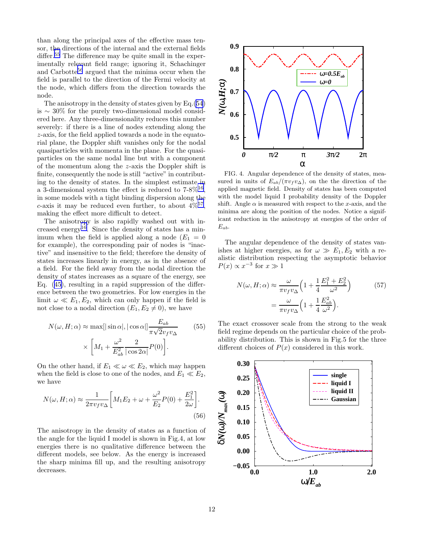<span id="page-12-0"></span>than along the principal axes of the effective mass tensor, the directions of the internal and the external fields differ.<sup>[55](#page-24-0)</sup> The difference may be quite small in the experimentally relevant field range; ignoring it, Schachinger and Carbotte<sup>[56](#page-24-0)</sup> argued that the minima occur when the field is parallel to the direction of the Fermi velocity at the node, which differs from the direction towards the node.

The anisotropy in the density of states given by Eq.[\(54](#page-11-0)) is ∼ 30% for the purely two-dimensional model considered here. Any three-dimensionality reduces this number severely: if there is a line of nodes extending along the z-axis, for the field applied towards a node in the equatorial plane, the Doppler shift vanishes only for the nodal quasiparticles with momenta in the plane. For the quasiparticles on the same nodal line but with a component of the momentum along the z-axis the Doppler shift is finite, consequently the node is still "active" in contributing to the density of states. In the simplest estimate in a 3-dimensional system the effect is reduced to  $7-8\%^{16}$  $7-8\%^{16}$  $7-8\%^{16}$ , in some models with a tight binding dispersion along the c-axis it may be reduced even further, to about  $4\%^{57}$  $4\%^{57}$  $4\%^{57}$ , making the effect more difficult to detect.

The anisotropy is also rapidly washed out with in-creased energy<sup>[16](#page-23-0)</sup>. Since the density of states has a minimum when the field is applied along a node  $(E_1 = 0)$ for example), the corresponding pair of nodes is "inactive" and insensitive to the field; therefore the density of states increases linearly in energy, as in the absence of a field. For the field away from the nodal direction the density of states increases as a square of the energy, see Eq. [\(45](#page-10-0)), resulting in a rapid suppression of the difference between the two geometries. For low energies in the limit  $\omega \ll E_1, E_2$ , which can only happen if the field is not close to a nodal direction  $(E_1, E_2 \neq 0)$ , we have

$$
N(\omega, H; \alpha) \approx \max[|\sin \alpha|, |\cos \alpha|] \frac{E_{ab}}{\pi \sqrt{2} v_f v_\Delta}
$$
(55)  

$$
\times \left[ M_1 + \frac{\omega^2}{E_{ab}^2} \frac{2}{|\cos 2\alpha|} P(0) \right].
$$

On the other hand, if  $E_1 \ll \omega \ll E_2$ , which may happen when the field is close to one of the nodes, and  $E_1 \ll E_2$ , we have

$$
N(\omega, H; \alpha) \approx \frac{1}{2\pi v_f v_{\Delta}} \left[ M_1 E_2 + \omega + \frac{\omega^2}{E_2} P(0) + \frac{E_1^2}{2\omega} \right].
$$
\n(56)

The anisotropy in the density of states as a function of the angle for the liquid I model is shown in Fig.4, at low energies there is no qualitative difference between the different models, see below. As the energy is increased the sharp minima fill up, and the resulting anisotropy decreases.



FIG. 4. Angular dependence of the density of states, measured in units of  $E_{ab}/(\pi v_f v_\Delta)$ , on the the direction of the applied magnetic field. Density of states has been computed with the model liquid I probability density of the Doppler shift. Angle  $\alpha$  is measured with respect to the x-axis, and the minima are along the position of the nodes. Notice a significant reduction in the anisotropy at energies of the order of  $E_{ab}$ .

The angular dependence of the density of states vanishes at higher energies, as for  $\omega \gg E_1, E_2$  with a realistic distribution respecting the asymptotic behavior  $P(x) \propto x^{-3}$  for  $x \gg 1$ 

$$
N(\omega, H; \alpha) \approx \frac{\omega}{\pi v_f v_{\Delta}} \left( 1 + \frac{1}{4} \frac{E_1^2 + E_2^2}{\omega^2} \right)
$$
(57)  
= 
$$
\frac{\omega}{\pi v_f v_{\Delta}} \left( 1 + \frac{1}{4} \frac{E_{ab}^2}{\omega^2} \right).
$$

The exact crossover scale from the strong to the weak field regime depends on the particular choice of the probability distribution. This is shown in Fig.5 for the three different choices of  $P(x)$  considered in this work.

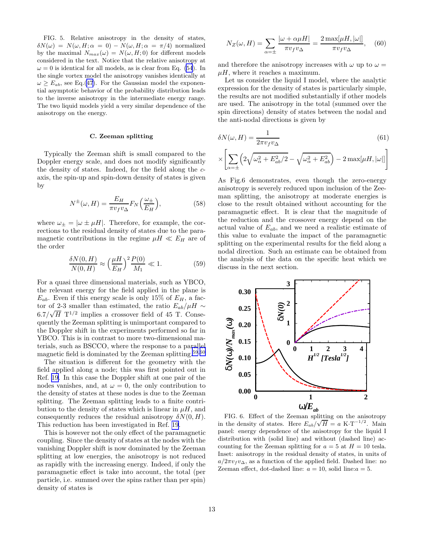<span id="page-13-0"></span>FIG. 5. Relative anisotropy in the density of states,  $\delta N(\omega) = N(\omega, H; \alpha = 0) - N(\omega, H; \alpha = \pi/4)$  normalized by the maximal  $N_{max}(\omega) = N(\omega, H; 0)$  for different models considered in the text. Notice that the relative anisotropy at  $\omega = 0$  is identical for all models, as is clear from Eq. [\(54](#page-11-0)). In the single vortex model the anisotropy vanishes identically at  $\omega \ge E_{ab}$ , see Eq.[\(47](#page-10-0)). For the Gaussian model the exponential asymptotic behavior of the probability distribution leads to the inverse anisotropy in the intermediate energy range. The two liquid models yield a very similar dependence of the anisotropy on the energy.

# C. Zeeman splitting

Typically the Zeeman shift is small compared to the Doppler energy scale, and does not modify significantly the density of states. Indeed, for the field along the caxis, the spin-up and spin-down density of states is given by

$$
N^{\pm}(\omega, H) = \frac{E_H}{\pi v_f v_{\Delta}} F_N\left(\frac{\omega_{\pm}}{E_H}\right),\tag{58}
$$

where  $\omega_{\pm} = |\omega \pm \mu H|$ . Therefore, for example, the corrections to the residual density of states due to the paramagnetic contributions in the regime  $\mu H \ll E_H$  are of the order

$$
\frac{\delta N(0, H)}{N(0, H)} \approx \left(\frac{\mu H}{E_H}\right)^2 \frac{P(0)}{M_1} \ll 1.
$$
 (59)

For a quasi three dimensional materials, such as YBCO, the relevant energy for the field applied in the plane is  $E_{ab}$ . Even if this energy scale is only 15% of  $E_H$ , a factor of 2-3 smaller than estimated, the ratio  $E_{ab}/\mu H \sim$  $6.7/\sqrt{H}$  T<sup>1/2</sup> implies a crossover field of 45 T. Consequently the Zeeman splitting is unimportant compared to the Doppler shift in the experiments performed so far in YBCO. This is in contrast to more two-dimensional materials, such as BSCCO, where the response to a parallel magnetic field is dominated by the Zeeman splitting.[59](#page-24-0),[60](#page-24-0)

The situation is different for the geometry with the field applied along a node; this was first pointed out in Ref. [19.](#page-23-0) In this case the Doppler shift at one pair of the nodes vanishes, and, at  $\omega = 0$ , the only contribution to the density of states at these nodes is due to the Zeeman splitting. The Zeeman splitting leads to a finite contribution to the density of states which is linear in  $\mu$ H, and consequently reduces the residual anisotropy  $\delta N(0, H)$ . This reduction has been investigated in Ref. [19](#page-23-0).

This is however not the only effect of the paramagnetic coupling. Since the density of states at the nodes with the vanishing Doppler shift is now dominated by the Zeeman splitting at low energies, the anisotropy is not reduced as rapidly with the increasing energy. Indeed, if only the paramagnetic effect is take into account, the total (per particle, i.e. summed over the spins rather than per spin) density of states is

$$
N_Z(\omega, H) = \sum_{\alpha = \pm} \frac{|\omega + \alpha \mu H|}{\pi v_f v_{\Delta}} = \frac{2 \max[\mu H, |\omega|]}{\pi v_f v_{\Delta}}, \quad (60)
$$

and therefore the anisotropy increases with  $\omega$  up to  $\omega =$  $\mu$ H, where it reaches a maximum.

Let us consider the liquid I model, where the analytic expression for the density of states is particularly simple, the results are not modified substantially if other models are used. The anisotropy in the total (summed over the spin directions) density of states between the nodal and the anti-nodal directions is given by

$$
\delta N(\omega, H) = \frac{1}{2\pi v_f v_\Delta} \tag{61}
$$

$$
\times\!\left[\sum\limits_{\alpha=\pm}\!\left(2\sqrt{\omega_{\alpha}^2+E_{ab}^2/2}-\sqrt{\omega_{\alpha}^2+E_{ab}^2}\right)-2\max[\mu H,|\omega|]\right]
$$

As Fig.6 demonstrates, even though the zero-energy anisotropy is severely reduced upon inclusion of the Zeeman splitting, the anisotropy at moderate energies is close to the result obtained without accounting for the paramagnetic effect. It is clear that the magnitude of the reduction and the crossover energy depend on the actual value of  $E_{ab}$ , and we need a realistic estimate of this value to evaluate the impact of the paramagnetic splitting on the experimental results for the field along a nodal direction. Such an estimate can be obtained from the analysis of the data on the specific heat which we discuss in the next section.



FIG. 6. Effect of the Zeeman splitting on the anisotropy in the density of states. Here  $E_{ab}/\sqrt{H} = a \text{ K} \cdot \text{T}^{-1/2}$ . Main panel: energy dependence of the anisotropy for the liquid I distribution with (solid line) and without (dashed line) accounting for the Zeeman splitting for  $a = 5$  at  $H = 10$  tesla. Inset: anisotropy in the residual density of states, in units of  $a/2\pi v_f v_\Delta$ , as a function of the applied field. Dashed line: no Zeeman effect, dot-dashed line:  $a = 10$ , solid line:  $a = 5$ .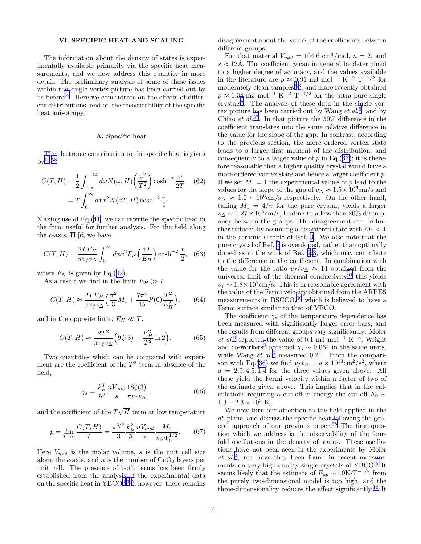# VI. SPECIFIC HEAT AND SCALING

The information about the density of states is experimentally available primarily via the specific heat measurements, and we now address this quantity in more detail. The preliminary analysis of some of these issues within the single vortex picture has been carried out by us before<sup>[58](#page-24-0)</sup>. Here we concentrate on the effects of different distributions, and on the measurability of the specific heat anisotropy.

#### A. Specific heat

The electronic contribution to the specific heat is given  $bv^{13,58}$  $bv^{13,58}$  $bv^{13,58}$  $bv^{13,58}$  $bv^{13,58}$ 

$$
C(T, H) = \frac{1}{2} \int_{-\infty}^{+\infty} d\omega N(\omega, H) \left(\frac{\omega^2}{T^2}\right) \cosh^{-2} \frac{\omega}{2T}
$$
 (62)  
=  $T \int_{0}^{\infty} dx x^2 N(xT, H) \cosh^{-2} \frac{x}{2}.$ 

Making use of Eq.([41](#page-10-0)) we can rewrite the specific heat in the form useful for further analysis. For the field along the c-axis,  $\mathbf{H} \parallel \hat{\mathbf{c}}$ , we have

$$
C(T, H) = \frac{2TE_H}{\pi v_f v_\Delta} \int_0^\infty dx x^2 F_N\left(\frac{xT}{E_H}\right) \cosh^{-2}\frac{x}{2}, \quad (63)
$$

where  $F_N$  is given by Eq.([42\)](#page-10-0).

As a result we find in the limit  $E_H \gg T$ 

$$
C(T, H) \approx \frac{2TE_H}{\pi v_f v_{\Delta}} \left(\frac{\pi^2}{3} M_1 + \frac{7\pi^4}{15} P(0) \frac{T^2}{E_H^2}\right),\tag{64}
$$

and in the opposite limit,  $E_H \ll T$ ,

$$
C(T, H) \approx \frac{2T^2}{\pi v_f v_\Delta} \Big( 9\zeta(3) + \frac{E_H^2}{T^2} \ln 2 \Big). \tag{65}
$$

Two quantities which can be compared with experiment are the coefficient of the  $T^2$  term in absence of the field,

$$
\gamma_s = \frac{k_B^3}{\hbar^2} \frac{nV_{mol}}{s} \frac{18\zeta(3)}{\pi v_f v_\Delta},\tag{66}
$$

and the coefficient of the  $T\sqrt{H}$  term at low temperature

$$
p = \lim_{T \to 0} \frac{C(T, H)}{T} = \frac{\pi^{3/2}}{3} \frac{k_B^2}{\hbar} \frac{nV_{mol}}{s} \frac{M_1}{v_\Delta \Phi_0^{1/2}}.
$$
 (67)

Here  $V_{mol}$  is the molar volume, s is the unit cell size along the c-axis, and n is the number of  $CuO<sub>2</sub>$  layers per unit cell. The presence of both terms has been firmly established from the analysis of the experimental data on the specific heat in  $YBCO<sup>2,3,5</sup>$  $YBCO<sup>2,3,5</sup>$  $YBCO<sup>2,3,5</sup>$  $YBCO<sup>2,3,5</sup>$  $YBCO<sup>2,3,5</sup>$  $YBCO<sup>2,3,5</sup>$  $YBCO<sup>2,3,5</sup>$ , however, there remains

disagreement about the values of the coefficients between different groups.

For that material  $V_{mol} = 104.6$  cm<sup>3</sup>/mol,  $n = 2$ , and  $s \approx 12\text{\AA}$ . The coefficient p can in general be determined to a higher degree of accuracy, and the values available in the literature are  $p \approx 0.91$  mJ mol<sup>-1</sup> K<sup>-2</sup> T<sup>-1/2</sup> for moderately clean samples<sup>[2](#page-23-0),[3](#page-23-0)</sup>, and more recently obtained  $p \approx 1.34$  mJ mol<sup>-1</sup> K<sup>-2</sup> T<sup>-1/2</sup> for the ultra-pure single crystals[5](#page-23-0) . The analysis of these data in the single vortex picture has been carried out by Wang  $et al.<sup>5</sup>$  $et al.<sup>5</sup>$  $et al.<sup>5</sup>$ , and by Chiao *et al.*<sup>[37](#page-24-0)</sup>. In that picture the 50% difference in the coefficient translates into the same relative difference in the value for the slope of the gap. In contrast, according to the previous section, the more ordered vortex state leads to a larger first moment of the distribution, and consequently to a larger value of  $p$  in Eq.(67); it is therefore reasonable that a higher quality crystal would have a more ordered vortex state and hence a larger coefficient  $p$ . If we set  $M_1 = 1$  the experimental values of p lead to the values for the slope of the gap of  $v_{\Delta} \approx 1.5 \times 10^6$ cm/s and  $v_{\Delta} \approx 1.0 \times 10^{6}$ cm/s respectively. On the other hand, taking  $M_1 = 4/\pi$  for the pure crystal, yields a larger  $v_{\Delta} \sim 1.27 \times 10^6$  cm/s, leading to a less than 20% discrepancy between the groups. The disagreement can be further reduced by assuming a disordered state with  $M_1 < 1$ in the ceramic sample of Ref. [3](#page-23-0). We also note that the pure crystal of Ref. [5](#page-23-0) is overdoped, rather than optimally doped as in the work of Ref. [2,3](#page-23-0), which may contribute to the difference in the coefficient. In combination with the value for the ratio  $v_f/v_\Delta \approx 14$  obtained from the universal limit of the thermal conductivity $^{61}$  $^{61}$  $^{61}$  this yields  $v_f \sim 1.8 \times 10^7$  cm/s. This is in reasonable agreement with the value of the Fermi velocity obtained from the ARPES measurements in  $BSCCO<sup>30</sup>$  $BSCCO<sup>30</sup>$  $BSCCO<sup>30</sup>$  which is believed to have a Fermi surface similar to that of YBCO.

The coefficient  $\gamma_s$  of the temperature dependence has been measured with significantly larger error bars, and the results from different groups vary significantly: Moler et al.<sup>[2](#page-23-0)</sup> reported the value of 0.1 mJ mol<sup>-1</sup> K<sup>-3</sup>, Wright and co-workers<sup>[3](#page-23-0)</sup> obtained  $\gamma_s \sim 0.064$  in the same units, while Wang  $et \ al.<sup>5</sup> measured 0.21. From the compari et \ al.<sup>5</sup> measured 0.21. From the compari et \ al.<sup>5</sup> measured 0.21. From the compari$ son with Eq.(66) we find  $v_f v_\Delta \sim a \times 10^{13} \text{cm}^2/\text{s}^2$ , where  $a = 2.9, 4.5, 1.4$  for the three values given above. All these yield the Fermi velocity within a factor of two of the estimate given above. This implies that in the calculations requiring a cut-off in energy the cut-off  $E_0 \sim$  $1.3 - 2.3 \times 10^3$  K.

We now turn our attention to the field applied in the ab-plane, and discuss the specific heat following the general approach of our previous paper.[58](#page-24-0) The first question which we address is the observability of the fourfold oscillations in the density of states. These oscillations have not been seen in the experiments by Moler  $et \ al.^{2}$  $et \ al.^{2}$  $et \ al.^{2}$ ; nor have they been found in recent measure-ments on very high quality single crystals of YBCO.<sup>[5](#page-23-0)</sup> It seems likely that the estimate of  $E_{ab} \sim 10 \text{K} \cdot \text{T}^{-1/2}$  from the purely two-dimensional model is too high, and the three-dimensionality reduces the effect significantly.[16](#page-23-0) It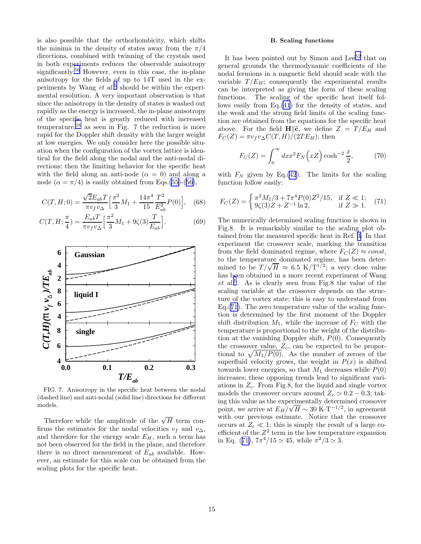<span id="page-15-0"></span>is also possible that the orthorhombicity, which shifts the minima in the density of states away from the  $\pi/4$ directions, combined with twinning of the crystals used in both experiments reduces the observable anisotropy significantly.<sup>[56](#page-24-0)</sup> However, even in this case, the in-plane anisotropy for the fields of up to 14T used in the experiments by Wang  $et$   $al$ <sup>[5](#page-23-0)</sup> should be within the experimental resolution. A very important observation is that since the anisotropy in the density of states is washed out rapidly as the energy is increased, the in-plane anisotropy of the specific heat is greatly reduced with increased temperature,<sup>[16](#page-23-0)</sup> as seen in Fig. 7 the reduction is more rapid for the Doppler shift density with the larger weight at low energies. We only consider here the possible situation when the configuration of the vortex lattice is identical for the field along the nodal and the anti-nodal directions; then the limiting behavior for the specific heat with the field along an anti-node  $(\alpha = 0)$  and along a node ( $\alpha = \pi/4$ ) is easily obtained from Eqs.[\(55\)](#page-12-0)-([56\)](#page-12-0),

$$
C(T, H; 0) = \frac{\sqrt{2}E_{ab}T}{\pi v_f v_{\Delta}} \left[ \frac{\pi^2}{3} M_1 + \frac{14\pi^4}{15} \frac{T^2}{E_{ab}^2} P(0) \right], \quad (68)
$$

$$
C(T, H; \frac{\pi}{4}) = \frac{E_{ab}T}{\pi v_f v_{\Delta}} \left[ \frac{\pi^2}{3} M_1 + 9\zeta(3) \frac{T}{E_{ab}} \right].
$$
 (69)



FIG. 7. Anisotropy in the specific heat between the nodal (dashed line) and anti-nodal (solid line) directions for different models.

Therefore while the amplitude of the  $\sqrt{H}$  term confirms the estimates for the nodal velocities  $v_f$  and  $v_\Delta$ , and therefore for the energy scale  $E_H$ , such a term has not been observed for the field in the plane, and therefore there is no direct measurement of  $E_{ab}$  available. However, an estimate for this scale can be obtained from the scaling plots for the specific heat.

# B. Scaling functions

It has been pointed out by Simon and Lee<sup>[52](#page-24-0)</sup> that on general grounds the thermodynamic coefficients of the nodal fermions in a magnetic field should scale with the variable  $T/E_H$ ; consequently the experimental results can be interpreted as giving the form of these scaling functions. The scaling of the specific heat itself follows easily from Eq.[\(41](#page-10-0)) for the density of states, and the weak and the strong field limits of the scaling function are obtained from the equations for the specific heat above. For the field  $H\hat{\mathbf{c}}$ , we define  $Z = T / E_H$  and  $F_C(Z) = \pi v_f v_{\Delta} C(T, H)/(2TE_H);$  then

$$
F_C(Z) = \int_0^\infty dx x^2 F_N\left(xZ\right) \cosh^{-2} \frac{x}{2},\tag{70}
$$

with  $F_N$  given by Eq.[\(42](#page-10-0)). The limits for the scaling function follow easily:

$$
F_C(Z) = \begin{cases} \pi^2 M_1/3 + 7\pi^4 P(0) Z^2/15, & \text{if } Z \ll 1; \\ 9\zeta(3) Z + Z^{-1} \ln 2, & \text{if } Z \gg 1. \end{cases}
$$
 (71)

The numerically determined scaling function is shown in Fig.8. It is remarkably similar to the scaling plot obtained from the measured specific heat in Ref. [3.](#page-23-0) In that experiment the crossover scale, marking the transition from the field dominated regime, where  $F_C(Z) \approx const$ , to the temperature dominated regime, has been deterinined to be  $T/\sqrt{H} \approx 6.5 \text{ K/T}^{1/2}$ ; a very close value has been obtained in a more recent experiment of Wang et al.[5](#page-23-0) . As is clearly seen from Fig.8 the value of the scaling variable at the crossover depends on the structure of the vortex state; this is easy to understand from Eq.(71). The zero temperature value of the scaling function is determined by the first moment of the Doppler shift distribution  $M_1$ , while the increase of  $F_C$  with the temperature is proportional to the weight of the distribution at the vanishing Doppler shift,  $P(0)$ . Consequently the crossover value,  $Z_c$ , can be expected to be proportional to  $\sqrt{M_1/P(0)}$ . As the number of zeroes of the superfluid velocity grows, the weight in  $P(x)$  is shifted towards lower energies, so that  $M_1$  decreases while  $P(0)$ increases; these opposing trends lead to significant variations in  $Z_c$ . From Fig.8, for the liquid and single vortex models the crossover occurs around  $Z_c \simeq 0.2 - 0.3$ ; taking this value as the experimentally determined crossover point, we arrive at  $E_H/\sqrt{H} \sim 30 \text{ K} \cdot \text{T}^{-1/2}$ , in agreement with our previous estimate. Notice that the crossover occurs at  $Z_c \ll 1$ ; this is simply the result of a large coefficient of the  $Z^2$  term in the low temperature expansion in Eq. (71),  $7\pi^4/15 \simeq 45$ , while  $\pi^2/3 \simeq 3$ .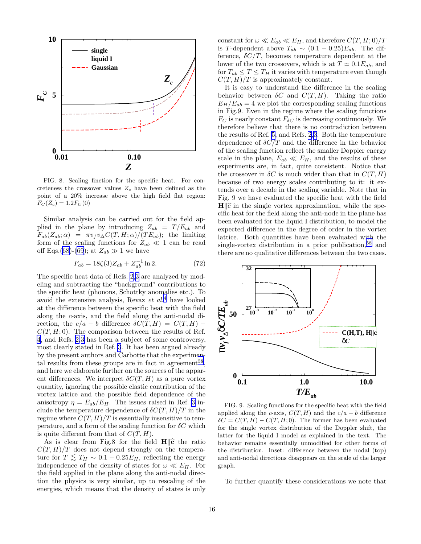

FIG. 8. Scaling finction for the specific heat. For concreteness the crossover values  $Z_c$  have been defined as the point of a 20% increase above the high field flat region:  $F_C(Z_c) = 1.2F_C(0)$ 

Similar analysis can be carried out for the field applied in the plane by introducing  $Z_{ab} = T/E_{ab}$  and  $F_{ab}(Z_{ab}; \alpha) = \pi v_f v_{\Delta} C(T, H; \alpha) / (TE_{ab});$  the limiting form of the scaling functions for  $Z_{ab} \ll 1$  can be read off Eqs.([68\)](#page-15-0)-([69](#page-15-0)); at  $Z_{ab} \gg 1$  we have

$$
F_{ab} = 18\zeta(3)Z_{ab} + Z_{ab}^{-1}\ln 2.
$$
 (72)

The specific heat data of Refs. [2,3](#page-23-0) are analyzed by modeling and subtracting the "background" contributions to the specific heat (phonons, Schottky anomalies etc.). To avoid the extensive analysis, Revaz  $et \ al.<sup>4</sup>$  $et \ al.<sup>4</sup>$  $et \ al.<sup>4</sup>$  have looked at the difference between the specific heat with the field along the c-axis, and the field along the anti-nodal direction, the  $c/a - b$  difference  $\delta C(T, H) = C(T, H) C(T, H; 0)$ . The comparison between the results of Ref. [4](#page-23-0), and Refs. [2,3](#page-23-0) has been a subject of some controversy, most clearly stated in Ref. [3](#page-23-0). It has been argued already by the present authors and Carbotte that the experimen-tal results from these groups are in fact in agreement<sup>[58](#page-24-0)</sup>, and here we elaborate further on the sources of the apparent differences. We interpret  $\delta C(T, H)$  as a pure vortex quantity, ignoring the possible elastic contribution of the vortex lattice and the possible field dependence of the anisotropy  $\eta = E_{ab}/E_H$ . The issues raised in Ref. [3](#page-23-0) include the temperature dependence of  $\delta C(T, H)/T$  in the regime where  $C(T, H)/T$  is essentially insensitive to temperature, and a form of the scaling function for  $\delta C$  which is quite different from that of  $C(T, H)$ .

As is clear from Fig.8 for the field  $H\hat{\sigma}$  the ratio  $C(T, H)/T$  does not depend strongly on the temperature for  $T \leq T_H \sim 0.1 - 0.25 E_H$ , reflecting the energy independence of the density of states for  $\omega \ll E_H$ . For the field applied in the plane along the anti-nodal direction the physics is very similar, up to rescaling of the energies, which means that the density of states is only

constant for  $\omega \ll E_{ab} \ll E_H$ , and therefore  $C(T, H; 0)/T$ is T-dependent above  $T_{ab} \sim (0.1 - 0.25) E_{ab}$ . The difference,  $\delta C/T$ , becomes temperature dependent at the lower of the two crossovers, which is at  $T \simeq 0.1 E_{ab}$ , and for  $T_{ab} \leq T \leq T_H$  it varies with temperature even though  $C(T, H)/T$  is approximately constant.

It is easy to understand the difference in the scaling behavior between  $\delta C$  and  $C(T, H)$ . Taking the ratio  $E_H/E_{ab} = 4$  we plot the corresponding scaling functions in Fig.9. Even in the regime where the scaling functions  $F_C$  is nearly constant  $F_{\delta C}$  is decreasing continuously. We therefore believe that there is no contradiction between the results of Ref. [5](#page-23-0), and Refs. [2,3](#page-23-0). Both the temperature dependence of  $\delta C/T$  and the difference in the behavior of the scaling function reflect the smaller Doppler energy scale in the plane,  $E_{ab} \ll E_H$ , and the results of these experiments are, in fact, quite consistent. Notice that the crossover in  $\delta C$  is much wider than that in  $C(T, H)$ because of two energy scales contributing to it: it extends over a decade in the scaling variable. Note that in Fig. 9 we have evaluated the specific heat with the field  $H\|\hat{c}$  in the single vortex approximation, while the specific heat for the field along the anti-node in the plane has been evaluated for the liquid I distribution, to model the expected difference in the degree of order in the vortex lattice. Both quantities have been evaluated with the single-vortex distribution in a prior publication,  $58$  and there are no qualitative differences between the two cases.



FIG. 9. Scaling functions for the specific heat with the field applied along the c-axis,  $C(T, H)$  and the  $c/a - b$  difference  $\delta C = C(T, H) - C(T, H; 0)$ . The former has been evaluated for the single vortex distribution of the Doppler shift, the latter for the liquid I model as explained in the text. The behavior remains essentially unmodified for other forms of the distribution. Inset: difference between the nodal (top) and anti-nodal directions disappears on the scale of the larger graph.

To further quantify these considerations we note that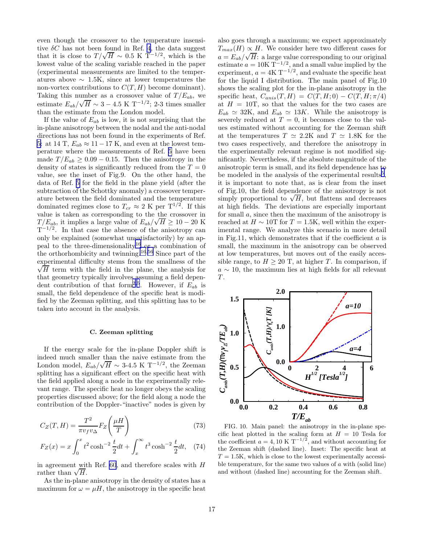even though the crossover to the temperature insensitive  $\delta C$  has not been found in Ref. [4](#page-23-0), the data suggest that it is close to  $T/\sqrt{H} \sim 0.5 \text{ K } T^{-1/2}$ , which is the lowest value of the scaling variable reached in the paper (experimental measurements are limited to the temperatures above  $\sim 1.5K$ , since at lower temperatures the non-vortex contributions to  $C(T, H)$  become dominant). Taking this number as a crossover value of  $T/E_{ab}$ , we estimate  $E_{ab}/\sqrt{H} \sim 3 - 4.5 \text{ K T}^{-1/2}$ ; 2-3 times smaller than the estimate from the London model.

If the value of  $E_{ab}$  is low, it is not surprising that the in-plane anisotropy between the nodal and the anti-nodal directions has not been found in the experiments of Ref. [5](#page-23-0): at 14 T,  $E_{ab} \approx 11-17$  K, and even at the lowest temperature where the measurements of Ref. [5](#page-23-0) have been made  $T/E_{ab} \geq 0.09 - 0.15$ . Then the anisotropy in the density of states is significantly reduced from the  $T = 0$ value, see the inset of Fig.9. On the other hand, the data of Ref. [5](#page-23-0) for the field in the plane yield (after the subtraction of the Schottky anomaly) a crossover temperature between the field dominated and the temperature dominated regimes close to  $T_{cr} \approx 2 \text{ K per } T^{1/2}$ . If this value is taken as corresponding to the the crossover in  $T/E_{ab}$ , it implies a large value of  $E_{ab}/\sqrt{H} \ge 10 - 20$  K  $T^{-1/2}$ . In that case the absence of the anisotropy can only be explained (somewhat unsatisfactorily) by an appeal to the three-dimensionality[16](#page-23-0) or a combination of the orthorhombicity and twinning.[16](#page-23-0),[56](#page-24-0) Since part of the experimental difficulty stems from the smallness of the  $\sqrt{H}$  term with the field in the plane, the analysis for that geometry typically involves assuming a field depen-dent contribution of that form<sup>[2](#page-23-0),[5](#page-23-0)</sup>. However, if  $E_{ab}$  is small, the field dependence of the specific heat is modified by the Zeeman splitting, and this splitting has to be taken into account in the analysis.

### C. Zeeman splitting

If the energy scale for the in-plane Doppler shift is indeed much smaller than the naive estimate from the London model,  $E_{ab}/\sqrt{H} \sim 3.4.5 \text{ K T}^{-1/2}$ , the Zeeman splitting has a significant effect on the specific heat with the field applied along a node in the experimentally relevant range. The specific heat no longer obeys the scaling properties discussed above; for the field along a node the contribution of the Doppler-"inactive" nodes is given by

$$
C_Z(T, H) = \frac{T^2}{\pi v_f v_\Delta} F_Z \left(\frac{\mu H}{T}\right)
$$
\n(73)

$$
F_Z(x) = x \int_0^x t^2 \cosh^{-2} \frac{t}{2} dt + \int_x^\infty t^3 \cosh^{-2} \frac{t}{2} dt, \quad (74)
$$

in agreement with Ref.  $60$ , and therefore scales with  $H$ rather than  $\sqrt{H}$ .

As the in-plane anisotropy in the density of states has a maximum for  $\omega = \mu H$ , the anisotropy in the specific heat

also goes through a maximum; we expect approximately  $T_{max}(H) \propto H$ . We consider here two different cases for  $a = E_{ab}/\sqrt{H}$ : a large value corresponding to our original estimate  $a = 10K T^{-1/2}$ , and a small value implied by the experiment,  $a = 4K T^{-1/2}$ , and evaluate the specific heat for the liquid I distribution. The main panel of Fig.10 shows the scaling plot for the in-plane anisotropy in the specific heat,  $C_{anis}(T, H) = C(T, H; 0) - C(T, H; \pi/4)$ at  $H = 10$ T, so that the values for the two cases are  $E_{ab} \simeq 32$ K, and  $E_{ab} \simeq 13K$ . While the anisotropy is severely reduced at  $T = 0$ , it becomes close to the values estimated without accounting for the Zeeman shift at the temperatures  $T \simeq 2.2K$  and  $T \simeq 1.8K$  for the two cases respectively, and therefore the anisotropy in the experimentally relevant regime is not modified significantly. Nevertheless, if the absolute magnitude of the anisotropic term is small, and its field dependence has to be modeled in the analysis of the experimental results<sup>[5](#page-23-0)</sup>, it is important to note that, as is clear from the inset of Fig.10, the field dependence of the anisotropy is not simply proportional to  $\sqrt{H}$ , but flattens and decreases at high fields. The deviations are especially important for small a, since then the maximum of the anisotropy is reached at  $H \sim 10$ T for  $T = 1.5$ K, well within the experimental range. We analyze this scenario in more detail in Fig.11, which demonstrates that if the coefficient  $a$  is small, the maximum in the anisotropy can be observed at low temperatures, but moves out of the easily accessible range, to  $H \geq 20$  T, at higher T. In comparison, if  $a \sim 10$ , the maximum lies at high fields for all relevant  $T$ .



FIG. 10. Main panel: the anisotropy in the in-plane specific heat plotted in the scaling form at  $H = 10$  Tesla for the coefficient  $a = 4, 10 \text{ K } T^{-1/2}$ , and without accounting for the Zeeman shift (dashed line). Inset: The specific heat at  $T = 1.5K$ , which is close to the lowest experimentally accessible temperature, for the same two values of  $a$  with (solid line) and without (dashed line) accounting for the Zeeman shift.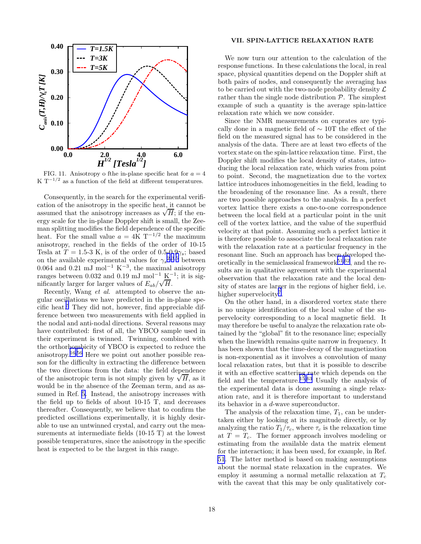<span id="page-18-0"></span>

FIG. 11. Anisotropy o fthe in-plane specific heat for  $a = 4$ K T<sup>-1/2</sup> as a function of the field at different temperatures.

Consequently, in the search for the experimental verification of the anisotropy in the specific heat, it cannot be assumed that the anisotropy increases as  $\sqrt{H}$ ; if the energy scale for the in-plane Doppler shift is small, the Zeeman splitting modifies the field dependence of the specific heat. For the small value  $a = 4K$  T<sup>-1/2</sup> the maximum anisotropy, reached in the fields of the order of 10-15 Tesla at  $T = 1.5-3$  K, is of the order of 0.5-0.9 $\gamma_s$ ; based on the available experimental values for  $\gamma_s^{2,3,5}$  $\gamma_s^{2,3,5}$  $\gamma_s^{2,3,5}$  $\gamma_s^{2,3,5}$  $\gamma_s^{2,3,5}$  $\gamma_s^{2,3,5}$  $\gamma_s^{2,3,5}$  between 0.064 and 0.21 mJ mol<sup>-1</sup> K<sup>-3</sup>, the maximal anisotropy ranges between 0.032 and 0.19 mJ mol<sup>-1</sup> K<sup>-1</sup>; it is significantly larger for larger values of  $E_{ab}/\sqrt{H}$ .

Recently, Wang et al. attempted to observe the angular oscillations we have predicted in the in-plane specific heat.[5](#page-23-0) They did not, however, find appreciable difference between two measurements with field applied in the nodal and anti-nodal directions. Several reasons may have contributed: first of all, the YBCO sample used in their experiment is twinned. Twinning, combined with the orthorhombicity of YBCO is expected to reduce the anisotropy.[16](#page-23-0),[56](#page-24-0) Here we point out another possible reason for the difficulty in extracting the difference between the two directions from the data: the field dependence of the anisotropic term is not simply given by  $\sqrt{H}$ , as it would be in the absence of the Zeeman term, and as assumed in Ref. [5.](#page-23-0) Instead, the anisotropy increases with the field up to fields of about 10-15 T, and decreases thereafter. Consequently, we believe that to confirm the predicted oscillations experimentally, it is highly desirable to use an untwinned crystal, and carry out the measurements at intermediate fields (10-15 T) at the lowest possible temperatures, since the anisotropy in the specific heat is expected to be the largest in this range.

#### VII. SPIN-LATTICE RELAXATION RATE

We now turn our attention to the calculation of the response functions. In these calculations the local, in real space, physical quantities depend on the Doppler shift at both pairs of nodes, and consequently the averaging has to be carried out with the two-node probability density  $\mathcal L$ rather than the single node distribution  $P$ . The simplest example of such a quantity is the average spin-lattice relaxation rate which we now consider.

Since the NMR measurements on cuprates are typically done in a magnetic field of ∼ 10T the effect of the field on the measured signal has to be considered in the analysis of the data. There are at least two effects of the vortex state on the spin-lattice relaxation time. First, the Doppler shift modifies the local density of states, introducing the local relaxation rate, which varies from point to point. Second, the magnetization due to the vortex lattice introduces inhomogeneities in the field, leading to the broadening of the resonance line. As a result, there are two possible approaches to the analysis. In a perfect vortex lattice there exists a one-to-one correspondence between the local field at a particular point in the unit cell of the vortex lattice, and the value of the superfluid velocity at that point. Assuming such a perfect lattice it is therefore possible to associate the local relaxation rate with the relaxation rate at a particular frequency in the resonant line. Such an approach has been developed theoretically in the semiclassical framework $51,62$  $51,62$  $51,62$ , and the results are in qualitative agreement with the experimental observation that the relaxation rate and the local density of states are larger in the regions of higher field, i.e. higher supervelocity<sup>[7](#page-23-0)</sup>.

On the other hand, in a disordered vortex state there is no unique identification of the local value of the supervelocity corresponding to a local magnetic field. It may therefore be useful to analyze the relaxation rate obtained by the "global" fit to the resonance line; especially when the linewidth remains quite narrow in frequency. It has been shown that the time-decay of the magnetization is non-exponential as it involves a convolution of many local relaxation rates, but that it is possible to describe it with an effective scattering rate which depends on the field and the temperature.<sup>[15](#page-23-0),[63](#page-24-0)</sup> Usually the analysis of the experimental data is done assuming a single relaxation rate, and it is therefore important to understand its behavior in a d-wave superconductor.

The analysis of the relaxation time,  $T_1$ , can be undertaken either by looking at its magnitude directly, or by analyzing the ratio  $T_1/\tau_c$ , where  $\tau_c$  is the relaxation time at  $T = T_c$ . The former approach involves modeling or estimating from the available data the matrix element for the interaction; it has been used, for example, in Ref. [51](#page-24-0). The latter method is based on making assumptions about the normal state relaxation in the cuprates. We employ it assuming a normal metallic relaxation at  $T_c$ with the caveat that this may be only qualitatively cor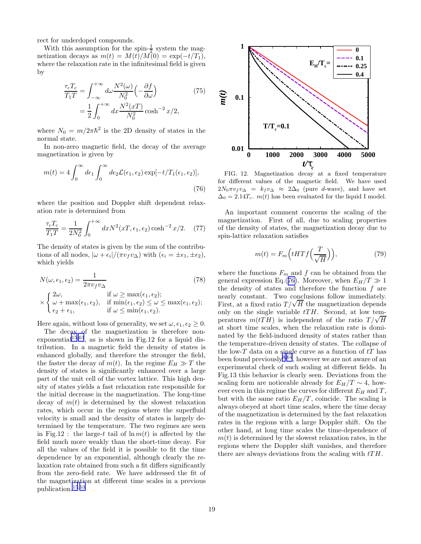<span id="page-19-0"></span>rect for underdoped compounds.

With this assumption for the spin- $\frac{1}{2}$  system the magnetization decays as  $m(t) = M(t)/M(0) = \exp(-t/T_1)$ , where the relaxation rate in the infinitesimal field is given by

$$
\frac{\tau_c T_c}{T_1 T} = \int_{-\infty}^{+\infty} d\omega \frac{N^2(\omega)}{N_0^2} \left(-\frac{\partial f}{\partial \omega}\right)
$$
\n
$$
= \frac{1}{2} \int_0^{+\infty} dx \frac{N^2(xT)}{N_0^2} \cosh^{-2} x/2,
$$
\n(75)

where  $N_0 = m/2\pi\hbar^2$  is the 2D density of states in the normal state.

In non-zero magnetic field, the decay of the average magnetization is given by

$$
m(t) = 4 \int_0^\infty d\epsilon_1 \int_0^\infty d\epsilon_2 \mathcal{L}(\epsilon_1, \epsilon_2) \exp[-t/T_1(\epsilon_1, \epsilon_2)],
$$
\n(76)

where the position and Doppler shift dependent relaxation rate is determined from

$$
\frac{\tau_c T_c}{T_1 T} = \frac{1}{2N_0^2} \int_0^{+\infty} dx N^2(xT, \epsilon_1, \epsilon_2) \cosh^{-2} x/2.
$$
 (77)

The density of states is given by the sum of the contributions of all nodes,  $|\omega + \epsilon_i|/(\pi v_f v_\Delta)$  with  $(\epsilon_i = \pm \epsilon_1, \pm \epsilon_2)$ , which yields

$$
N(\omega, \epsilon_1, \epsilon_2) = \frac{1}{2\pi v_f v_{\Delta}}
$$
(78)  
\n
$$
\times \begin{cases} 2\omega, & \text{if } \omega \ge \max(\epsilon_1, \epsilon_2); \\ \omega + \max(\epsilon_1, \epsilon_2), & \text{if } \min(\epsilon_1, \epsilon_2) \le \omega \le \max(\epsilon_1, \epsilon_2); \\ \epsilon_2 + \epsilon_1, & \text{if } \omega \le \min(\epsilon_1, \epsilon_2). \end{cases}
$$

Here again, without loss of generality, we set  $\omega, \epsilon_1, \epsilon_2 \geq 0$ .

The decay of the magnetization is therefore non-exponential<sup>[15](#page-23-0),[63](#page-24-0)</sup>, as is shown in Fig.12 for a liquid distribution. In a magnetic field the density of states is enhanced globally, and therefore the stronger the field, the faster the decay of  $m(t)$ . In the regime  $E_H \gg T$  the density of states is significantly enhanced over a large part of the unit cell of the vortex lattice. This high density of states yields a fast relaxation rate responsible for the initial decrease in the magnetization. The long-time decay of  $m(t)$  is determined by the slowest relaxation rates, which occur in the regions where the superfluid velocity is small and the density of states is largely determined by the temperature. The two regimes are seen in Fig.12 : the large-t tail of  $\ln m(t)$  is affected by the field much more weakly than the short-time decay. For all the values of the field it is possible to fit the time dependence by an exponential, although clearly the relaxation rate obtained from such a fit differs significantly from the zero-field rate. We have addressed the fit of the magnetization at different time scales in a previous publication.[15](#page-23-0),[63](#page-24-0)



FIG. 12. Magnetization decay at a fixed temperature for different values of the magnetic field. We have used  $2N_0\pi v_f v_\Delta = k_f v_\Delta \approx 2\Delta_0$  (pure d-wave), and have set  $\Delta_0 = 2.14T_c$ .  $m(t)$  has been evaluated for the liquid I model.

An important comment concerns the scaling of the magnetization. First of all, due to scaling properties of the density of states, the magnetization decay due to spin-lattice relaxation satisfies

$$
m(t) = F_m\left(tHTf\left(\frac{T}{\sqrt{H}}\right)\right),\tag{79}
$$

where the functions  $F_m$  and f can be obtained from the general expression Eq.(76). Moreover, when  $E_H/T \gg 1$ the density of states and therefore the function  $f$  are nearly constant. Two conclusions follow immediately. First, at a fixed ratio  $T/\sqrt{H}$  the magnetization depends only on the single variable  $tTH$ . Second, at low temperatures  $m(tTH)$  is independent of the ratio  $T/\sqrt{H}$ at short time scales, when the relaxation rate is dominated by the field-induced density of states rather than the temperature-driven density of states. The collapse of the low- $T$  data on a single curve as a function of  $tT$  has been found previously  $8.64$  $8.64$  $8.64$ , however we are not aware of an experimental check of such scaling at different fields. In Fig.13 this behavior is clearly seen. Deviations from the scaling form are noticeable already for  $E_H/T \sim 4$ , however even in this regime the curves for different  $E_H$  and T, but with the same ratio  $E_H/T$ , coincide. The scaling is always obeyed at short time scales, where the time decay of the magnetization is determined by the fast relaxation rates in the regions with a large Doppler shift. On the other hand, at long time scales the time-dependence of  $m(t)$  is determined by the slowest relaxation rates, in the regions where the Doppler shift vanishes, and therefore there are always deviations from the scaling with  $tTH$ .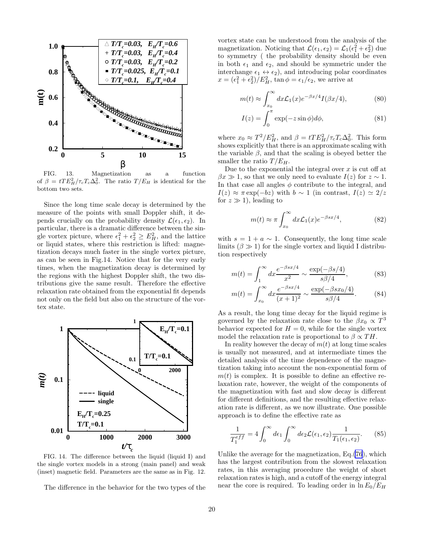

FIG. 13. Magnetization as a function of  $\beta = tTE_H^2/\tau_cT_c\Delta_0^2$ . The ratio  $T/E_H$  is identical for the bottom two sets.

Since the long time scale decay is determined by the measure of the points with small Doppler shift, it depends crucially on the probability density  $\mathcal{L}(\epsilon_1, \epsilon_2)$ . In particular, there is a dramatic difference between the single vortex picture, where  $\epsilon_1^2 + \epsilon_2^2 \ge E_H^2$ , and the lattice or liquid states, where this restriction is lifted: magnetization decays much faster in the single vortex picture, as can be seen in Fig.14. Notice that for the very early times, when the magnetization decay is determined by the regions with the highest Doppler shift, the two distributions give the same result. Therefore the effective relaxation rate obtained from the exponential fit depends not only on the field but also on the structure of the vortex state.



FIG. 14. The difference between the liquid (liquid I) and the single vortex models in a strong (main panel) and weak (inset) magnetic field. Parameters are the same as in Fig. 12.

The difference in the behavior for the two types of the

vortex state can be understood from the analysis of the magnetization. Noticing that  $\mathcal{L}(\epsilon_1, \epsilon_2) = \mathcal{L}_1(\epsilon_1^2 + \epsilon_2^2)$  due to symmetry ( the probability density should be even in both  $\epsilon_1$  and  $\epsilon_2$ , and should be symmetric under the interchange  $\epsilon_1 \leftrightarrow \epsilon_2$ , and introducing polar coordinates  $x = (\epsilon_1^2 + \epsilon_2^2)/E_H^2$ ,  $\tan \phi = \epsilon_1/\epsilon_2$ , we arrive at

$$
m(t) \approx \int_{x_0}^{\infty} dx \mathcal{L}_1(x) e^{-\beta x/4} I(\beta x/4), \tag{80}
$$

$$
I(z) = \int_0^\pi \exp(-z\sin\phi)d\phi,
$$
 (81)

where  $x_0 \approx T^2/E_H^2$ , and  $\beta = tTE_H^2/\tau_cT_c\Delta_0^2$ . This form shows explicitly that there is an approximate scaling with the variable  $\beta$ , and that the scaling is obeyed better the smaller the ratio  $T/E_H$ .

Due to the exponential the integral over  $x$  is cut off at  $\beta x \gg 1$ , so that we only need to evaluate  $I(z)$  for  $z \sim 1$ . In that case all angles  $\phi$  contribute to the integral, and  $I(z) \approx \pi \exp(-bz)$  with  $b \sim 1$  (in contrast,  $I(z) \simeq 2/z$ for  $z \gg 1$ , leading to

$$
m(t) \approx \pi \int_{x_0}^{\infty} dx \mathcal{L}_1(x) e^{-\beta s x/4}, \qquad (82)
$$

with  $s = 1 + a \sim 1$ . Consequently, the long time scale limits  $(\beta \gg 1)$  for the single vortex and liquid I distribution respectively

$$
m(t) = \int_{1}^{\infty} dx \frac{e^{-\beta sx/4}}{x^2} \sim \frac{\exp(-\beta s/4)}{s\beta/4},
$$
 (83)

$$
m(t) = \int_{x_0}^{\infty} dx \frac{e^{-\beta sx/4}}{(x+1)^2} \sim \frac{\exp(-\beta sx_0/4)}{s\beta/4}.
$$
 (84)

As a result, the long time decay for the liquid regime is governed by the relaxation rate close to the  $\beta x_0 \propto T^3$ behavior expected for  $H = 0$ , while for the single vortex model the relaxation rate is proportional to  $\beta \propto TH$ .

In reality however the decay of  $m(t)$  at long time scales is usually not measured, and at intermediate times the detailed analysis of the time dependence of the magnetization taking into account the non-exponential form of  $m(t)$  is complex. It is possible to define an effective relaxation rate, however, the weight of the components of the magnetization with fast and slow decay is different for different definitions, and the resulting effective relaxation rate is different, as we now illustrate. One possible approach is to define the effective rate as

$$
\frac{1}{T_1^{eff}} = 4 \int_0^\infty d\epsilon_1 \int_0^\infty d\epsilon_2 \mathcal{L}(\epsilon_1, \epsilon_2) \frac{1}{T_1(\epsilon_1, \epsilon_2)}.\tag{85}
$$

Unlike the average for the magnetization, Eq.[\(76](#page-19-0)), which has the largest contribution from the slowest relaxation rates, in this averaging procedure the weight of short relaxation rates is high, and a cutoff of the energy integral near the core is required. To leading order in  $\ln E_0/E_H$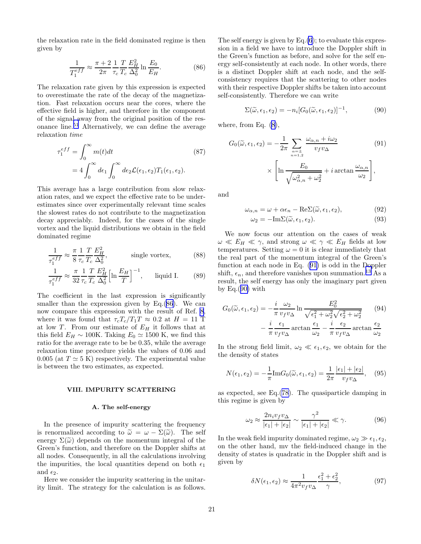<span id="page-21-0"></span>the relaxation rate in the field dominated regime is then given by

$$
\frac{1}{T_1^{eff}} \approx \frac{\pi + 2}{2\pi} \frac{1}{\tau_c} \frac{T}{T_c} \frac{E_H^2}{\Delta_0^2} \ln \frac{E_0}{E_H}.
$$
 (86)

The relaxation rate given by this expression is expected to overestimate the rate of the decay of the magnetization. Fast relaxation occurs near the cores, where the effective field is higher, and therefore in the component of the signal away from the original position of the resonance line.[51](#page-24-0) Alternatively, we can define the average relaxation time

$$
\tau_1^{eff} = \int_0^\infty m(t)dt \qquad (87)
$$

$$
= 4 \int_0^\infty d\epsilon_1 \int_0^\infty d\epsilon_2 \mathcal{L}(\epsilon_1, \epsilon_2) T_1(\epsilon_1, \epsilon_2).
$$

This average has a large contribution from slow relaxation rates, and we expect the effective rate to be underestimates since over experimentally relevant time scales the slowest rates do not contribute to the magnetization decay appreciably. Indeed, for the cases of the single vortex and the liquid distributions we obtain in the field dominated regime

$$
\frac{1}{\tau_1^{eff}} \approx \frac{\pi}{8} \frac{1}{\tau_c} \frac{T}{T_c} \frac{E_H^2}{\Delta_0^2}, \qquad \text{single vortex}, \qquad (88)
$$

$$
\frac{1}{\tau_1^{eff}} \approx \frac{\pi}{32} \frac{1}{\tau_c} \frac{T}{T_c} \frac{E_H^2}{\Delta_0^2} \left[ \ln \frac{E_H}{T} \right]^{-1}, \quad \text{liquid I.} \quad (89)
$$

The coefficient in the last expression is significantly smaller than the expression given by Eq.(86). We can now compare this expression with the result of Ref. [8](#page-23-0), where it was found that  $\tau_c T_c/T_1 T \approx 0.2$  at  $H = 11$  T at low T. From our estimate of  $E_H$  it follows that at this field  $E_H \sim 100$ K. Taking  $E_0 \simeq 1500$  K, we find this ratio for the average rate to be be 0.35, while the average relaxation time procedure yields the values of 0.06 and 0.005 (at  $T \simeq 5$  K) respectively. The experimental value is between the two estimates, as expected.

#### VIII. IMPURITY SCATTERING

### A. The self-energy

In the presence of impurity scattering the frequency is renormalized according to  $\tilde{\omega} = \omega - \Sigma(\tilde{\omega})$ . The self energy  $\Sigma(\tilde{\omega})$  depends on the momentum integral of the Green's function, and therefore on the Doppler shifts at all nodes. Consequently, in all the calculations involving the impurities, the local quantities depend on both  $\epsilon_1$ and  $\epsilon_2$ .

Here we consider the impurity scattering in the unitarity limit. The strategy for the calculation is as follows. The self energy is given by  $Eq.(6)$  $Eq.(6)$  $Eq.(6)$ ; to evaluate this expression in a field we have to introduce the Doppler shift in the Green's function as before, and solve for the self energy self-consistently at each node. In other words, there is a distinct Doppler shift at each node, and the selfconsistency requires that the scattering to other nodes with their respective Doppler shifts be taken into account self-consistently. Therefore we can write

$$
\Sigma(\widetilde{\omega}, \epsilon_1, \epsilon_2) = -n_i [G_0(\widetilde{\omega}, \epsilon_1, \epsilon_2)]^{-1}, \tag{90}
$$

where, from Eq. [\(8](#page-4-0)),

$$
G_0(\widetilde{\omega}, \epsilon_1, \epsilon_2) = -\frac{1}{2\pi} \sum_{\substack{\alpha = \pm \\ n = 1, 2}} \frac{\omega_{\alpha, n} + i\omega_2}{v_f v_{\Delta}} \qquad (91)
$$

$$
\times \left[ \ln \frac{E_0}{\sqrt{\omega_{\alpha, n}^2 + \omega_2^2}} + i \arctan \frac{\omega_{\alpha, n}}{\omega_2} \right],
$$

and

$$
\omega_{\alpha,n} = \omega + \alpha \epsilon_n - \text{Re}\Sigma(\tilde{\omega}, \epsilon_1, \epsilon_2),\tag{92}
$$

$$
\omega_2 = -\mathrm{Im}\Sigma(\widetilde{\omega}, \epsilon_1, \epsilon_2). \tag{93}
$$

We now focus our attention on the cases of weak  $\omega \ll E_H \ll \gamma$ , and strong  $\omega \ll \gamma \ll E_H$  fields at low temperatures. Setting  $\omega = 0$  it is clear immediately that the real part of the momentum integral of the Green's function at each node in Eq. (91) is odd in the Doppler shift,  $\epsilon_n$ , and therefore vanishes upon summation.<sup>[13](#page-23-0)</sup> As a result, the self energy has only the imaginary part given by Eq.(90) with

$$
G_0(\tilde{\omega}, \epsilon_1, \epsilon_2) = -\frac{i}{\pi} \frac{\omega_2}{v_f v_{\Delta}} \ln \frac{E_0^2}{\sqrt{\epsilon_1^2 + \omega_2^2} \sqrt{\epsilon_2^2 + \omega_2^2}} \qquad (94)
$$

$$
- \frac{i}{\pi} \frac{\epsilon_1}{v_f v_{\Delta}} \arctan \frac{\epsilon_1}{\omega_2} - \frac{i}{\pi} \frac{\epsilon_2}{v_f v_{\Delta}} \arctan \frac{\epsilon_2}{\omega_2}
$$

In the strong field limit,  $\omega_2 \ll \epsilon_1, \epsilon_2$ , we obtain for the the density of states

$$
N(\epsilon_1, \epsilon_2) = -\frac{1}{\pi} \text{Im} G_0(\widetilde{\omega}, \epsilon_1, \epsilon_2) = \frac{1}{2\pi} \frac{|\epsilon_1| + |\epsilon_2|}{v_f v_{\Delta}}, \quad (95)
$$

as expected, see Eq.([78\)](#page-19-0). The quasiparticle damping in this regime is given by

$$
\omega_2 \approx \frac{2n_i v_f v_{\Delta}}{|\epsilon_1| + |\epsilon_2|} \sim \frac{\gamma^2}{|\epsilon_1| + |\epsilon_2|} \ll \gamma.
$$
 (96)

In the weak field impurity dominated regime,  $\omega_2 \gg \epsilon_1, \epsilon_2$ , on the other hand, mv the field-induced change in the density of states is quadratic in the Doppler shift and is given by

$$
\delta N(\epsilon_1, \epsilon_2) \approx \frac{1}{4\pi^2 v_f v_\Delta} \frac{\epsilon_1^2 + \epsilon_2^2}{\gamma},\tag{97}
$$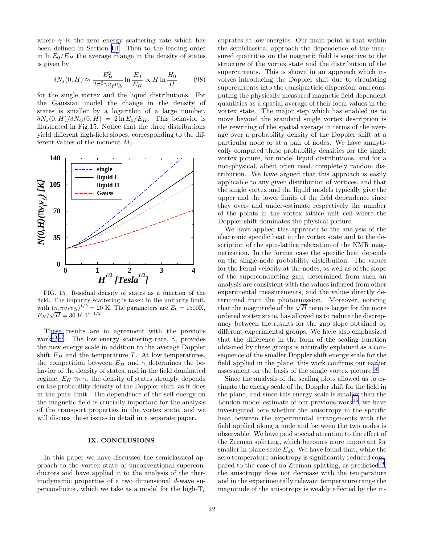where  $\gamma$  is the zero energy scattering rate which has been defined in Section [III](#page-4-0). Then to the leading order in  $\ln E_0/E_H$  the average change in the density of states is given by

$$
\delta N_s(0, H) \approx \frac{E_H^2}{2\pi^2 \gamma v_f v_\Delta} \ln \frac{E_0}{E_H} \propto H \ln \frac{H_0}{H}
$$
 (98)

for the single vortex and the liquid distributions. For the Gaussian model the change in the density of states is smaller by a logarithm of a large number,  $\delta N_s(0, H)/\delta N_G(0, H) = 2 \ln E_0/E_H$ . This behavior is illustrated in Fig.15. Notice that the three distributions yield different high-field slopes, corresponding to the different values of the moment  $M_1$ .



FIG. 15. Residual density of states as a function of the field. The impurity scattering is taken in the unitarity limit, with  $(n_i \pi v_f v_\Delta)^{1/2} = 20$  K. The parameters are  $E_0 = 1500$ K,  $E_H/\sqrt{H} = 30 \text{ K T}^{-1/2}.$ 

These results are in agreement with the previous work<sup>[13](#page-23-0),[17](#page-23-0)</sup>. The low energy scattering rate,  $\gamma$ , provides the new energy scale in addition to the average Doppler shift  $E_H$  and the temperature T. At low temperatures, the competition between  $E_H$  and  $\gamma$  determines the behavior of the density of states, and in the field dominated regime,  $E_H \gg \gamma$ , the density of states strongly depends on the probability density of the Doppler shift, as it does in the pure limit. The dependence of the self energy on the magnetic field is crucially important for the analysis of the transport properties in the vortex state, and we will discuss these issues in detail in a separate paper.

#### IX. CONCLUSIONS

In this paper we have discussed the semiclassical approach to the vortex state of unconventional superconductors and have applied it to the analysis of the thermodynamic properties of a two dimensional d-wave superconductor, which we take as a model for the high- $T_c$  cuprates at low energies. Our main point is that within the semiclassical approach the dependence of the measured quantities on the magnetic field is sensitive to the structure of the vortex state and the distribution of the supercurrents. This is shown in an approach which involves introducing the Doppler shift due to circulating supercurrents into the quasiparticle dispersion, and computing the physically measured magnetic field dependent quantities as a spatial average of their local values in the vortex state. The major step which has enabled us to move beyond the standard single vortex description is the rewriting of the spatial average in terms of the average over a probability density of the Doppler shift at a particular node or at a pair of nodes. We have analytically computed these probability densities for the single vortex picture, for model liquid distributions, and for a non-physical, albeit often used, completely random distribution. We have argued that this approach is easily applicable to any given distribution of vortices, and that the single vortex and the liquid models typically give the upper and the lower limits of the field dependence since they over- and under-estimate respectively the number of the points in the vortex lattice unit cell where the Doppler shift dominates the physical picture.

We have applied this approach to the analysis of the electronic specific heat in the vortex state and to the description of the spin-lattice relaxation of the NMR magnetization. In the former case the specific heat depends on the single-node probability distribution. The values for the Fermi velocity at the nodes, as well as of the slope of the superconducting gap, determined from such an analysis are consistent with the values inferred from other experimental measurements, and the values directly determined from the photoemission. Moreover, noticing that the magnitude of the  $\sqrt{H}$  term is larger for the more ordered vortex state, has allowed us to reduce the discrepancy between the results for the gap slope obtained by different experimental groups. We have also emphasized that the difference in the form of the scaling function obtained by these groups is naturally explained as a consequence of the smaller Doppler shift energy scale for the field applied in the plane; this work confirms our earlier assessment on the basis of the single vortex picture.[58](#page-24-0)

Since the analysis of the scaling plots allowed us to estimate the energy scale of the Doppler shift for the field in the plane, and since this energy scale is smaller than the London model estimate of our previous work<sup>[16](#page-23-0)</sup>, we have investigated here whether the anisotropy in the specific heat between the experimental arrangements with the field applied along a node and between the two nodes is observable. We have paid special attention to the effect of the Zeeman splitting, which becomes more important for smaller in-plane scale  $E_{ab}$ . We have found that, while the zero temperature anisotropy is significantly reduced com-pared to the case of no Zeeman splitting, as predicted<sup>[19](#page-23-0)</sup>, the anisotropy does not decrease with the temperature and in the experimentally relevant temperature range the magnitude of the anisotropy is weakly affected by the in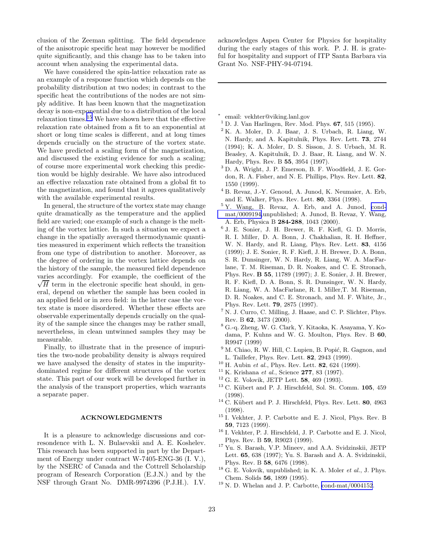<span id="page-23-0"></span>clusion of the Zeeman splitting. The field dependence of the anisotropic specific heat may however be modified quite significantly, and this change has to be taken into account when analysing the experimental data.

We have considered the spin-lattice relaxation rate as an example of a response function which depends on the probability distribution at two nodes; in contrast to the specific heat the contributions of the nodes are not simply additive. It has been known that the magnetization decay is non-exponential due to a distribution of the local relaxation times.<sup>15</sup> We have shown here that the effective relaxation rate obtained from a fit to an exponential at short or long time scales is different, and at long times depends crucially on the structure of the vortex state. We have predicted a scaling form of the magnetization, and discussed the existing evidence for such a scaling; of course more experimental work checking this prediction would be highly desirable. We have also introduced an effective relaxation rate obtained from a global fit to the magnetization, and found that it agrees qualitatively with the available experimental results.

In general, the structure of the vortex state may change quite dramatically as the temperature and the applied field are varied; one example of such a change is the melting of the vortex lattice. In such a situation we expect a change in the spatially averaged thermodynamic quantities measured in experiment which reflects the transition from one type of distribution to another. Moreover, as the degree of ordering in the vortex lattice depends on the history of the sample, the measured field dependence varies accordingly. For example, the coefficient of the  $\sqrt{H}$  term in the electronic specific heat should, in general, depend on whether the sample has been cooled in an applied field or in zero field: in the latter case the vortex state is more disordered. Whether these effects are observable experimentally depends crucially on the quality of the sample since the changes may be rather small, nevertheless, in clean untwinned samples they may be measurable.

Finally, to illustrate that in the presence of impurities the two-node probability density is always required we have analysed the density of states in the impuritydominated regime for different structures of the vortex state. This part of our work will be developed further in the analysis of the transport properties, which warrants a separate paper.

### ACKNOWLEDGMENTS

It is a pleasure to acknowledge discussions and corresondence with L. N. Bulaevskii and A. E. Koshelev. This research has been supported in part by the Department of Energy under contract W-7405-ENG-36 (I. V.), by the NSERC of Canada and the Cottrell Scholarship program of Research Corporation (E.J.N.) and by the NSF through Grant No. DMR-9974396 (P.J.H.). I.V.

acknowledges Aspen Center for Physics for hospitality during the early stages of this work. P. J. H. is grateful for hospitality and support of ITP Santa Barbara via Grant No. NSF-PHY-94-07194.

∗ email: vekhter@viking.lanl.gov

- $<sup>1</sup>$  D. J. Van Harlingen, Rev. Mod. Phys. 67, 515 (1995).</sup>
- $2 K. A.$  Moler, D. J. Baar, J. S. Urbach, R. Liang, W. N. Hardy, and A. Kapitulnik, Phys. Rev. Lett. 73, 2744 (1994); K. A. Moler, D. S. Sisson, J. S. Urbach, M. R. Beasley, A. Kapitulnik, D. J. Baar, R. Liang, and W. N. Hardy, Phys. Rev. B 55, 3954 (1997).
- <sup>3</sup> D. A. Wright, J. P. Emerson, B. F. Woodfield, J. E. Gordon, R. A. Fisher, and N. E. Phillips, Phys. Rev. Lett. 82, 1550 (1999).
- <sup>4</sup> B. Revaz, J.-Y. Genoud, A. Junod, K. Neumaier, A. Erb, and E. Walker, Phys. Rev. Lett. 80, 3364 (1998).
- <sup>5</sup> Y. Wang, B. Revaz, A. Erb, and A. Junod, [cond](http://arxiv.org/abs/cond-mat/0009194)[mat/0009194,](http://arxiv.org/abs/cond-mat/0009194)unpublished; A. Junod, B. Revaz, Y. Wang, A. Erb, Physica B 284-288, 1043 (2000).
- 6 J. E. Sonier, J. H. Brewer, R. F. Kiefl, G. D. Morris, R. I. Miller, D. A. Bonn, J. Chakhalian, R. H. Heffner, W. N. Hardy, and R. Liang, Phys. Rev. Lett. 83, 4156 (1999); J. E. Sonier, R. F. Kiefl, J. H. Brewer, D. A. Bonn, S. R. Dunsinger, W. N. Hardy, R. Liang, W. A. MacFarlane, T. M. Riseman, D. R. Noakes, and C. E. Stronach, Phys. Rev. B 55, 11789 (1997); J. E. Sonier, J. H. Brewer, R. F. Kiefl, D. A. Bonn, S. R. Dunsinger, W. N. Hardy, R. Liang, W. A. MacFarlane, R. I. Miller,T. M. Riseman, D. R. Noakes, and C. E. Stronach, and M. F. White, Jr., Phys. Rev. Lett. 79, 2875 (1997).
- <sup>7</sup> N. J. Curro, C. Milling, J. Haase, and C. P. Slichter, Phys. Rev. B 62, 3473 (2000).
- <sup>8</sup> G.-q. Zheng, W. G. Clark, Y. Kitaoka, K. Asayama, Y. Kodama, P. Kuhns and W. G. Moulton, Phys. Rev. B 60, R9947 (1999)
- $^9$  M. Chiao, R. W. Hill, C. Lupien, B. Popić, R. Gagnon, and L. Taillefer, Phys. Rev. Lett. 82, 2943 (1999).
- $10$  H. Aubin et al., Phys. Rev. Lett. 82, 624 (1999).
- $11$  K. Krishana et al., Science 277, 83 (1997).
- $12$  G. E. Volovik, JETP Lett. 58, 469 (1993).
- $13$  C. Kübert and P. J. Hirschfeld, Sol. St. Comm.  $105$ ,  $459$ (1998).
- $^{14}$  C. Kübert and P. J. Hirschfeld, Phys. Rev. Lett. 80, 4963 (1998).
- <sup>15</sup> I. Vekhter, J. P. Carbotte and E. J. Nicol, Phys. Rev. B 59, 7123 (1999).
- <sup>16</sup> I. Vekhter, P. J. Hirschfeld, J. P. Carbotte and E. J. Nicol, Phys. Rev. B 59, R9023 (1999).
- <sup>17</sup> Yu. S. Barash, V.P. Mineev, and A.A. Svidzinskii, JETP Lett. 65, 638 (1997); Yu. S. Barash and A. A. Svidzinskii, Phys. Rev. B 58, 6476 (1998).
- $18$  G. E. Volovik, unpublished; in K. A. Moler *et al.*, J. Phys. Chem. Solids 56, 1899 (1995).
- $19$  N. D. Whelan and J. P. Carbotte, [cond-mat/0004152](http://arxiv.org/abs/cond-mat/0004152).